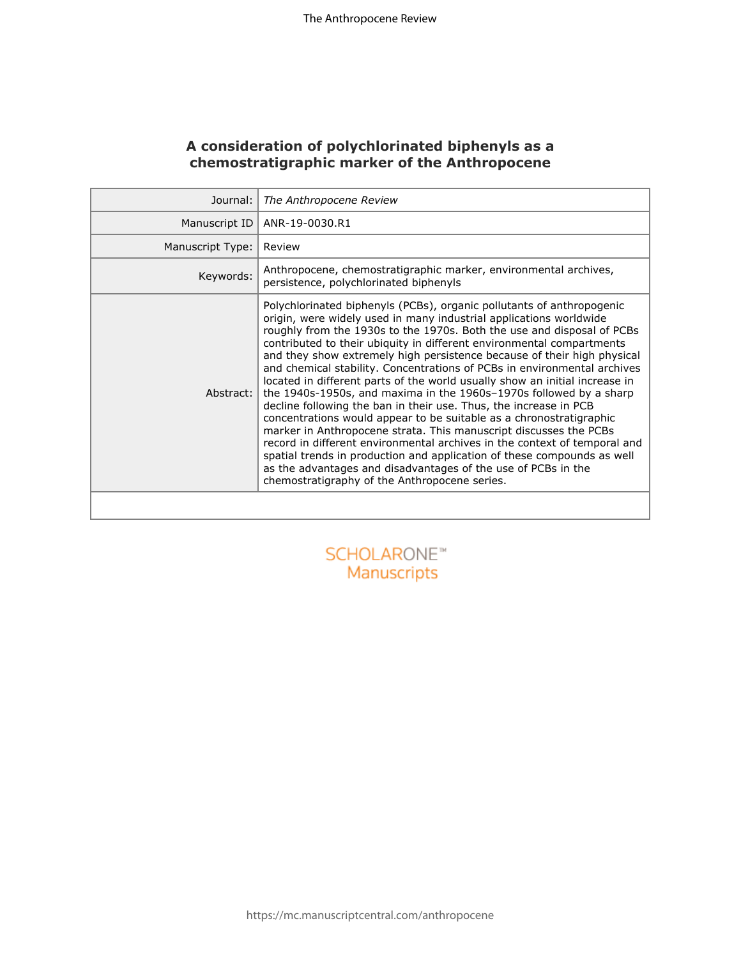# **A consideration of polychlorinated biphenyls as a chemostratigraphic marker of the Anthropocene**

| Journal:         | The Anthropocene Review                                                                                                                                                                                                                                                                                                                                                                                                                                                                                                                                                                                                                                                                                                                                                                                                                                                                                                                                                                                                                                                                               |  |
|------------------|-------------------------------------------------------------------------------------------------------------------------------------------------------------------------------------------------------------------------------------------------------------------------------------------------------------------------------------------------------------------------------------------------------------------------------------------------------------------------------------------------------------------------------------------------------------------------------------------------------------------------------------------------------------------------------------------------------------------------------------------------------------------------------------------------------------------------------------------------------------------------------------------------------------------------------------------------------------------------------------------------------------------------------------------------------------------------------------------------------|--|
| Manuscript ID    | ANR-19-0030.R1                                                                                                                                                                                                                                                                                                                                                                                                                                                                                                                                                                                                                                                                                                                                                                                                                                                                                                                                                                                                                                                                                        |  |
| Manuscript Type: | Review                                                                                                                                                                                                                                                                                                                                                                                                                                                                                                                                                                                                                                                                                                                                                                                                                                                                                                                                                                                                                                                                                                |  |
| Keywords:        | Anthropocene, chemostratigraphic marker, environmental archives,<br>persistence, polychlorinated biphenyls                                                                                                                                                                                                                                                                                                                                                                                                                                                                                                                                                                                                                                                                                                                                                                                                                                                                                                                                                                                            |  |
| Abstract:        | Polychlorinated biphenyls (PCBs), organic pollutants of anthropogenic<br>origin, were widely used in many industrial applications worldwide<br>roughly from the 1930s to the 1970s. Both the use and disposal of PCBs<br>contributed to their ubiquity in different environmental compartments<br>and they show extremely high persistence because of their high physical<br>and chemical stability. Concentrations of PCBs in environmental archives<br>located in different parts of the world usually show an initial increase in<br>the 1940s-1950s, and maxima in the 1960s-1970s followed by a sharp<br>decline following the ban in their use. Thus, the increase in PCB<br>concentrations would appear to be suitable as a chronostratigraphic<br>marker in Anthropocene strata. This manuscript discusses the PCBs<br>record in different environmental archives in the context of temporal and<br>spatial trends in production and application of these compounds as well<br>as the advantages and disadvantages of the use of PCBs in the<br>chemostratigraphy of the Anthropocene series. |  |
|                  |                                                                                                                                                                                                                                                                                                                                                                                                                                                                                                                                                                                                                                                                                                                                                                                                                                                                                                                                                                                                                                                                                                       |  |
|                  | SCHOLARONE <sup>*</sup><br>Manuscripts                                                                                                                                                                                                                                                                                                                                                                                                                                                                                                                                                                                                                                                                                                                                                                                                                                                                                                                                                                                                                                                                |  |

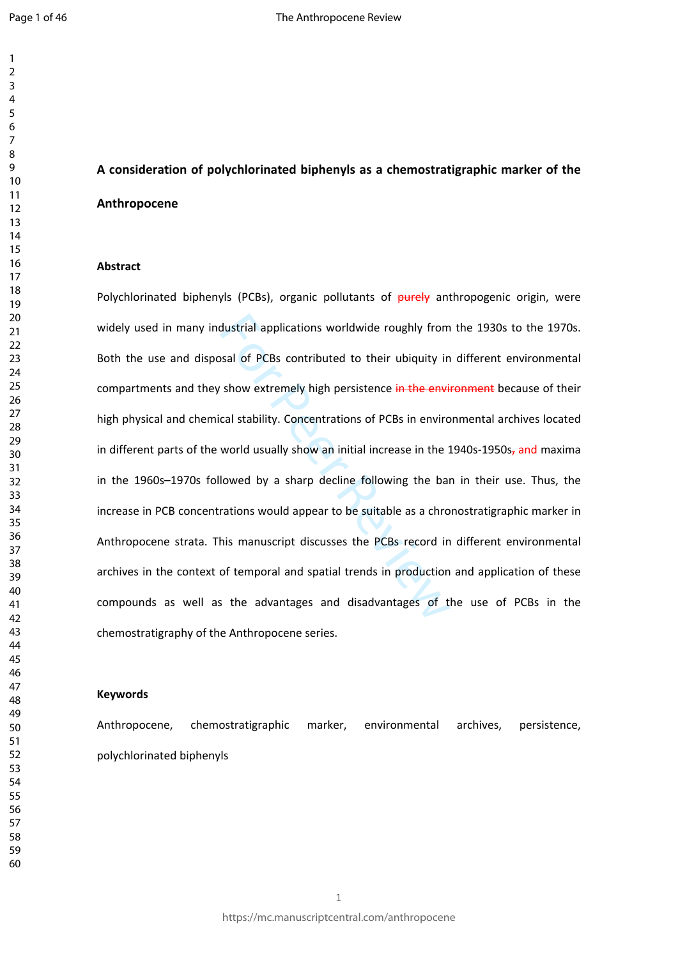# **A consideration of polychlorinated biphenyls as a chemostratigraphic marker of the Anthropocene**

#### **Abstract**

dustrial applications worldwide roughly from<br>sal of PCBs contributed to their ubiquity in<br>show extremely high persistence in the envi-<br>cal stability. Concentrations of PCBs in enviro<br>world usually show an initial increase Polychlorinated biphenyls (PCBs), organic pollutants of  $\frac{\partial u}{\partial x}$  anthropogenic origin, were widely used in many industrial applications worldwide roughly from the 1930s to the 1970s. Both the use and disposal of PCBs contributed to their ubiquity in different environmental compartments and they show extremely high persistence in the environment because of their high physical and chemical stability. Concentrations of PCBs in environmental archives located in different parts of the world usually show an initial increase in the 1940s-1950s<sub>7</sub> and maxima in the 1960s–1970s followed by a sharp decline following the ban in their use. Thus, the increase in PCB concentrations would appear to be suitable as a chronostratigraphic marker in Anthropocene strata. This manuscript discusses the PCBs record in different environmental archives in the context of temporal and spatial trends in production and application of these compounds as well as the advantages and disadvantages of the use of PCBs in the chemostratigraphy of the Anthropocene series.

#### **Keywords**

Anthropocene, chemostratigraphic marker, environmental archives, persistence, polychlorinated biphenyls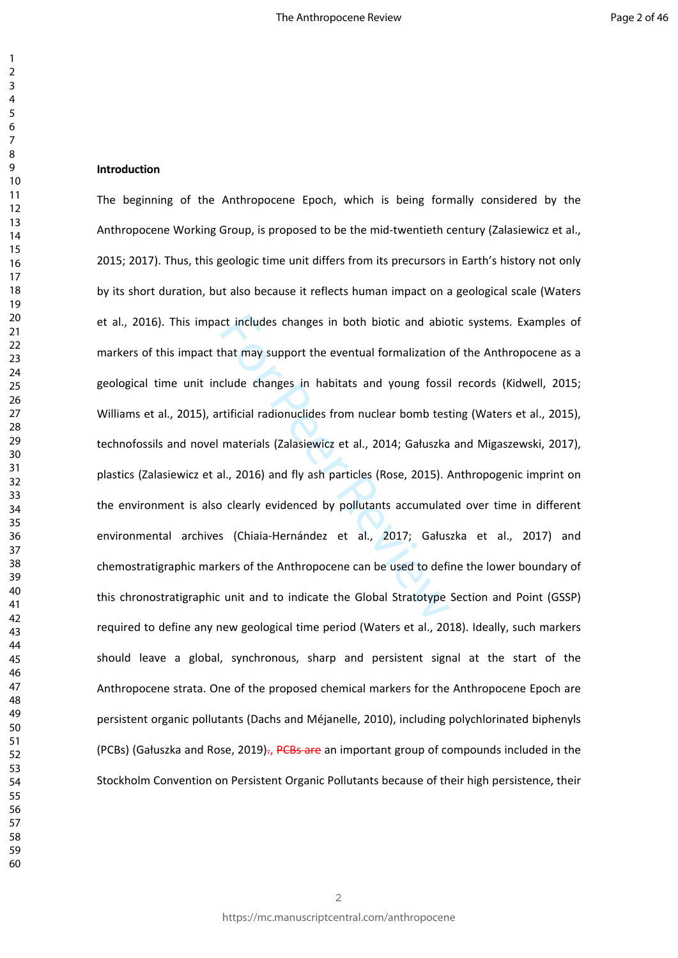#### **Introduction**

ct includes changes in both biotic and abiometrial and that may support the eventual formalization of clude changes in habitats and young fossil rtificial radionuclides from nuclear bomb test materials (Zalasiewicz et al., The beginning of the Anthropocene Epoch, which is being formally considered by the Anthropocene Working Group, is proposed to be the mid-twentieth century (Zalasiewicz et al., 2015; 2017). Thus, this geologic time unit differs from its precursors in Earth's history not only by its short duration, but also because it reflects human impact on a geological scale (Waters et al., 2016). This impact includes changes in both biotic and abiotic systems. Examples of markers of this impact that may support the eventual formalization of the Anthropocene as a geological time unit include changes in habitats and young fossil records (Kidwell, 2015; Williams et al., 2015), artificial radionuclides from nuclear bomb testing (Waters et al., 2015), technofossils and novel materials (Zalasiewicz et al., 2014; Gałuszka and Migaszewski, 2017), plastics (Zalasiewicz et al., 2016) and fly ash particles (Rose, 2015). Anthropogenic imprint on the environment is also clearly evidenced by pollutants accumulated over time in different environmental archives (Chiaia-Hernández et al., 2017; Gałuszka et al., 2017) and chemostratigraphic markers of the Anthropocene can be used to define the lower boundary of this chronostratigraphic unit and to indicate the Global Stratotype Section and Point (GSSP) required to define any new geological time period (Waters et al., 2018). Ideally, such markers should leave a global, synchronous, sharp and persistent signal at the start of the Anthropocene strata. One of the proposed chemical markers for the Anthropocene Epoch are persistent organic pollutants (Dachs and Méjanelle, 2010), including polychlorinated biphenyls (PCBs) (Gałuszka and Rose, 2019)., PCBs are an important group of compounds included in the Stockholm Convention on Persistent Organic Pollutants because of their high persistence, their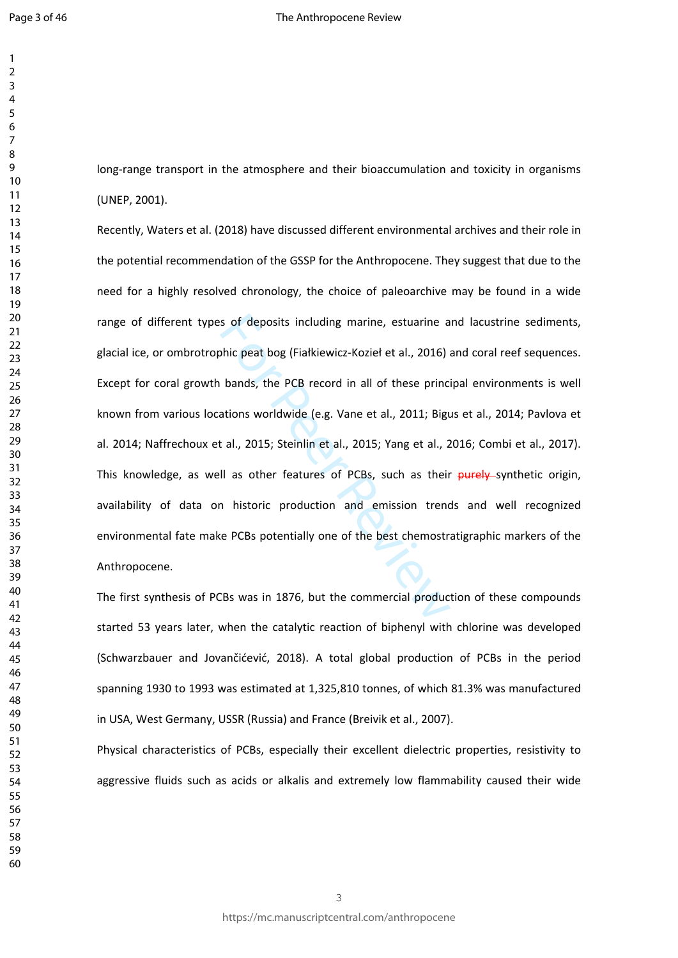$\mathbf{1}$  $\overline{2}$  $\overline{3}$ 

long-range transport in the atmosphere and their bioaccumulation and toxicity in organisms (UNEP, 2001).

s of deposits including marine, estuarine a<br>bhic peat bog (Fiałkiewicz-Kozieł et al., 2016) a<br>bands, the PCB record in all of these princ<br>ations worldwide (e.g. Vane et al., 2011; Bigu<br>t al., 2015; Steinlin et al., 2015; Y Recently, Waters et al. (2018) have discussed different environmental archives and their role in the potential recommendation of the GSSP for the Anthropocene. They suggest that due to the need for a highly resolved chronology, the choice of paleoarchive may be found in a wide range of different types of deposits including marine, estuarine and lacustrine sediments, glacial ice, or ombrotrophic peat bog (Fiałkiewicz-Kozieł et al., 2016) and coral reef sequences. Except for coral growth bands, the PCB record in all of these principal environments is well known from various locations worldwide (e.g. Vane et al., 2011; Bigus et al., 2014; Pavlova et al. 2014; Naffrechoux et al., 2015; Steinlin et al., 2015; Yang et al., 2016; Combi et al., 2017). This knowledge, as well as other features of PCBs, such as their purely synthetic origin, availability of data on historic production and emission trends and well recognized environmental fate make PCBs potentially one of the best chemostratigraphic markers of the Anthropocene.

The first synthesis of PCBs was in 1876, but the commercial production of these compounds started 53 years later, when the catalytic reaction of biphenyl with chlorine was developed (Schwarzbauer and Jovančićević, 2018). A total global production of PCBs in the period spanning 1930 to 1993 was estimated at 1,325,810 tonnes, of which 81.3% was manufactured in USA, West Germany, USSR (Russia) and France (Breivik et al., 2007).

Physical characteristics of PCBs, especially their excellent dielectric properties, resistivity to aggressive fluids such as acids or alkalis and extremely low flammability caused their wide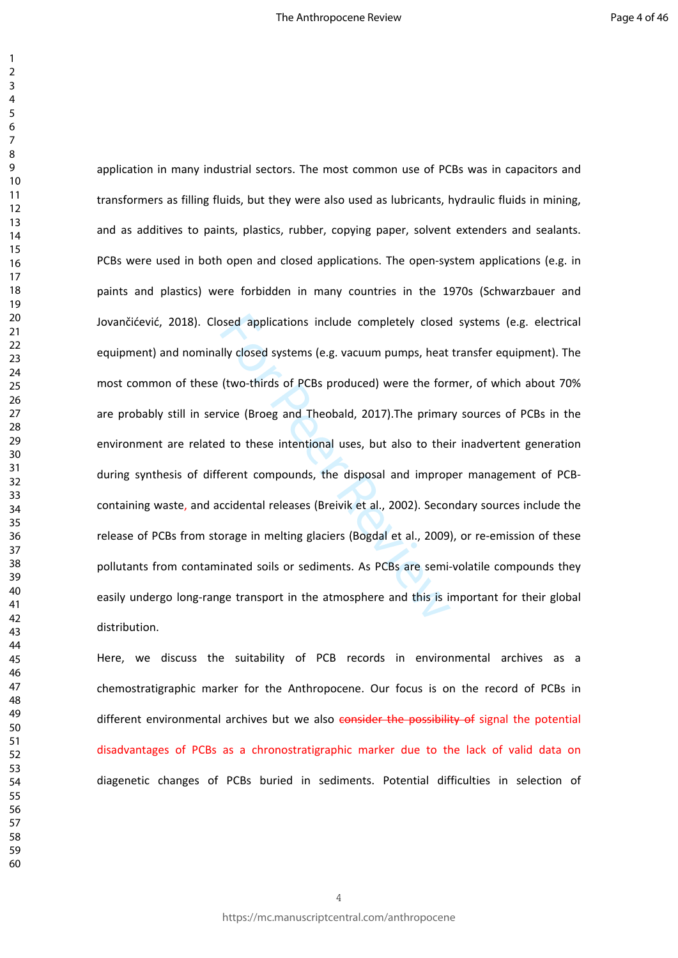bosed applications include completely closed<br>Illy closed systems (e.g. vacuum pumps, heat<br>(two-thirds of PCBs produced) were the form<br>vice (Broeg and Theobald, 2017).The primar<br>d to these intentional uses, but also to thei application in many industrial sectors. The most common use of PCBs was in capacitors and transformers as filling fluids, but they were also used as lubricants, hydraulic fluids in mining, and as additives to paints, plastics, rubber, copying paper, solvent extenders and sealants. PCBs were used in both open and closed applications. The open-system applications (e.g. in paints and plastics) were forbidden in many countries in the 1970s (Schwarzbauer and Jovančićević, 2018). Closed applications include completely closed systems (e.g. electrical equipment) and nominally closed systems (e.g. vacuum pumps, heat transfer equipment). The most common of these (two-thirds of PCBs produced) were the former, of which about 70% are probably still in service (Broeg and Theobald, 2017).The primary sources of PCBs in the environment are related to these intentional uses, but also to their inadvertent generation during synthesis of different compounds, the disposal and improper management of PCBcontaining waste, and accidental releases (Breivik et al., 2002). Secondary sources include the release of PCBs from storage in melting glaciers (Bogdal et al., 2009), or re-emission of these pollutants from contaminated soils or sediments. As PCBs are semi-volatile compounds they easily undergo long-range transport in the atmosphere and this is important for their global distribution.

Here, we discuss the suitability of PCB records in environmental archives as a chemostratigraphic marker for the Anthropocene. Our focus is on the record of PCBs in different environmental archives but we also consider the possibility of signal the potential disadvantages of PCBs as a chronostratigraphic marker due to the lack of valid data on diagenetic changes of PCBs buried in sediments. Potential difficulties in selection of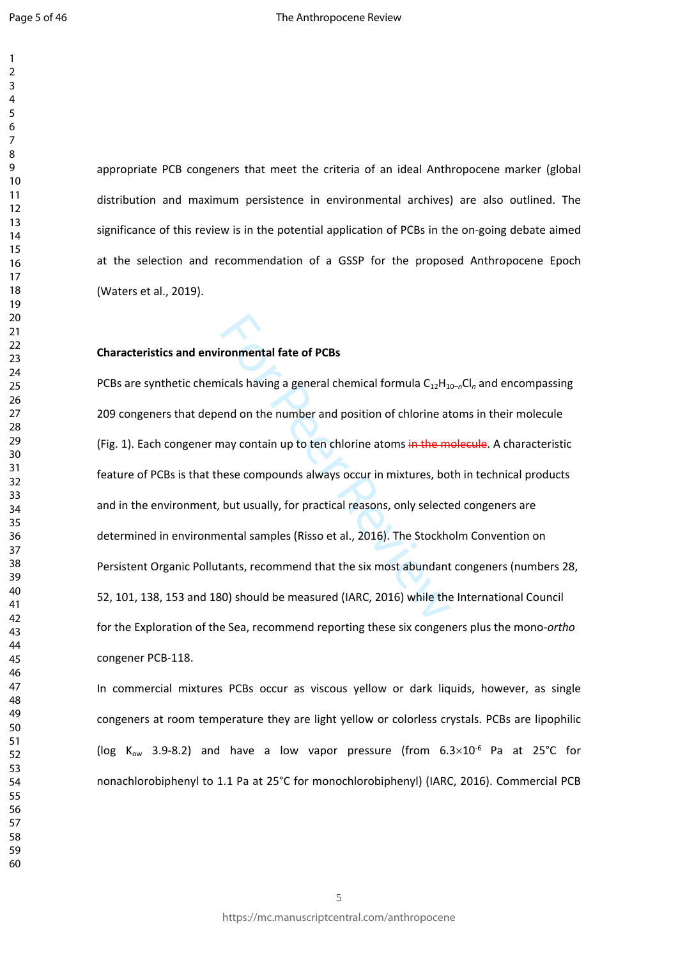$\mathbf{1}$  $\overline{2}$  $\overline{3}$  $\overline{4}$  $\overline{7}$  $\mathsf{Q}$ 

appropriate PCB congeners that meet the criteria of an ideal Anthropocene marker (global distribution and maximum persistence in environmental archives) are also outlined. The significance of this review is in the potential application of PCBs in the on-going debate aimed at the selection and recommendation of a GSSP for the proposed Anthropocene Epoch (Waters et al., 2019).

#### **Characteristics and environmental fate of PCBs**

From the diagram of PCBs<br>icals having a general chemical formula  $C_{12}H_{11}$ <br>and on the number and position of chlorine at<br>may contain up to ten chlorine atoms in the m<br>nese compounds always occur in mixtures, bo<br>but usu PCBs are synthetic chemicals having a general chemical formula C<sub>12</sub>H<sub>10-n</sub>Cl<sub>n</sub> and encompassing 209 congeners that depend on the number and position of chlorine atoms in their molecule (Fig. 1). Each congener may contain up to ten chlorine atoms in the molecule. A characteristic feature of PCBs is that these compounds always occur in mixtures, both in technical products and in the environment, but usually, for practical reasons, only selected congeners are determined in environmental samples (Risso et al., 2016). The Stockholm Convention on Persistent Organic Pollutants, recommend that the six most abundant congeners (numbers 28, 52, 101, 138, 153 and 180) should be measured (IARC, 2016) while the International Council for the Exploration of the Sea, recommend reporting these six congeners plus the mono-*ortho*  congener PCB-118.

In commercial mixtures PCBs occur as viscous yellow or dark liquids, however, as single congeners at room temperature they are light yellow or colorless crystals. PCBs are lipophilic (log  $K_{ow}$  3.9-8.2) and have a low vapor pressure (from  $6.3 \times 10^{-6}$  Pa at 25°C for nonachlorobiphenyl to 1.1 Pa at 25°C for monochlorobiphenyl) (IARC, 2016). Commercial PCB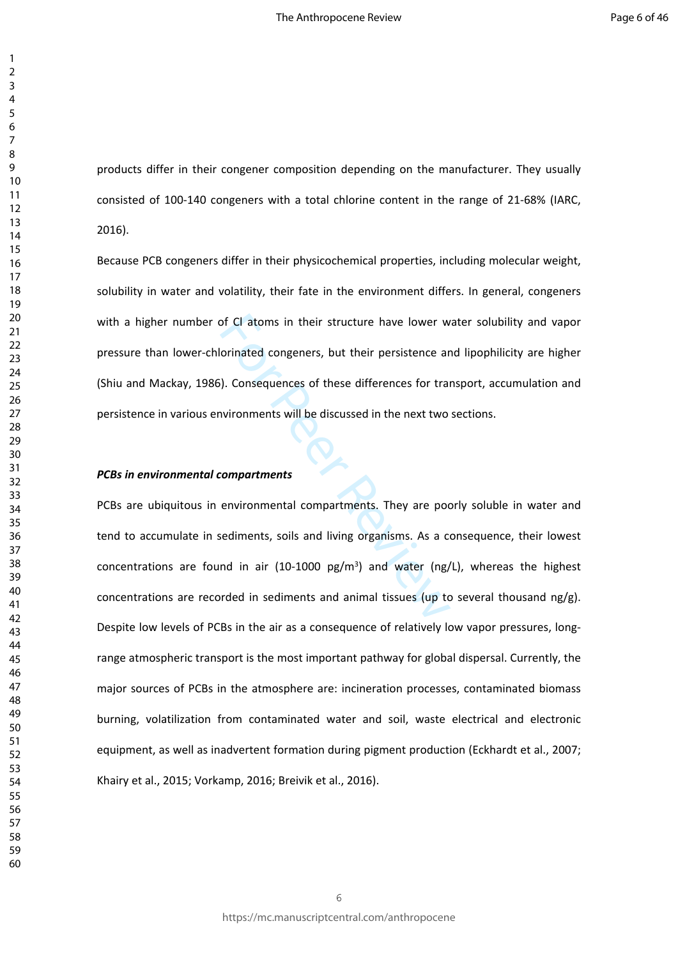products differ in their congener composition depending on the manufacturer. They usually consisted of 100-140 congeners with a total chlorine content in the range of 21-68% (IARC, 2016).

Because PCB congeners differ in their physicochemical properties, including molecular weight, solubility in water and volatility, their fate in the environment differs. In general, congeners with a higher number of Cl atoms in their structure have lower water solubility and vapor pressure than lower-chlorinated congeners, but their persistence and lipophilicity are higher (Shiu and Mackay, 1986). Consequences of these differences for transport, accumulation and persistence in various environments will be discussed in the next two sections.

#### *PCBs in environmental compartments*

orinated congeners, but their persistence are<br>orinated congeners, but their persistence are<br>(a). Consequences of these differences for transvironments will be discussed in the next two<br>compartments<br>environmental compartmen PCBs are ubiquitous in environmental compartments. They are poorly soluble in water and tend to accumulate in sediments, soils and living organisms. As a consequence, their lowest concentrations are found in air (10-1000  $pg/m^3$ ) and water (ng/L), whereas the highest concentrations are recorded in sediments and animal tissues (up to several thousand  $ng/g$ ). Despite low levels of PCBs in the air as a consequence of relatively low vapor pressures, longrange atmospheric transport is the most important pathway for global dispersal. Currently, the major sources of PCBs in the atmosphere are: incineration processes, contaminated biomass burning, volatilization from contaminated water and soil, waste electrical and electronic equipment, as well as inadvertent formation during pigment production (Eckhardt et al., 2007; Khairy et al., 2015; Vorkamp, 2016; Breivik et al., 2016).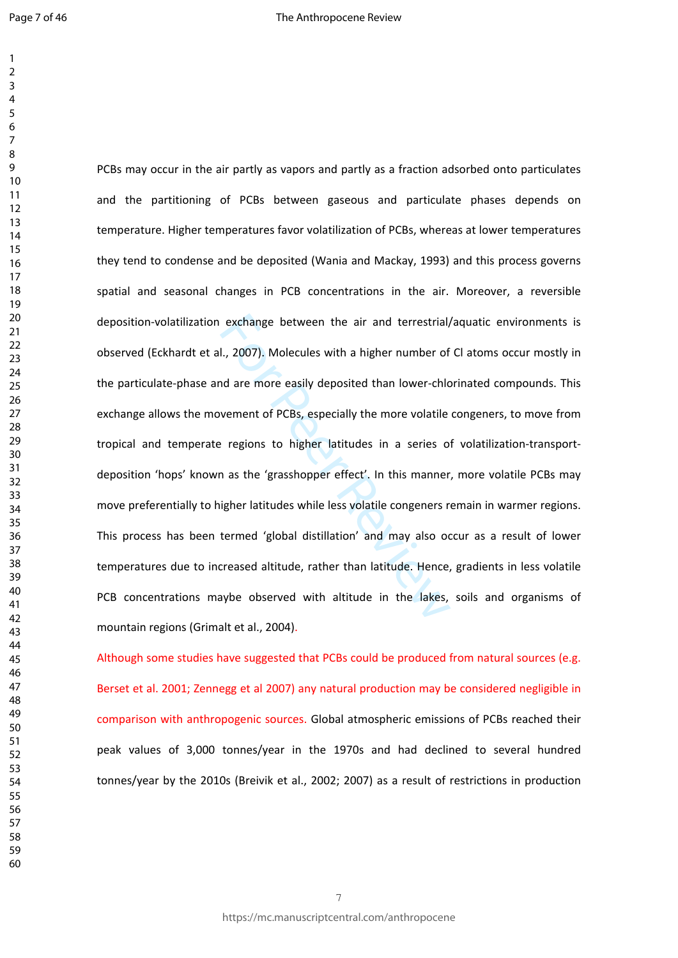$\mathbf{1}$ 

exchange between the air and terrestrial,<br>I., 2007). Molecules with a higher number of<br>nd are more easily deposited than lower-chlo<br>vement of PCBs, especially the more volatile<br>? regions to higher latitudes in a series of<br> PCBs may occur in the air partly as vapors and partly as a fraction adsorbed onto particulates and the partitioning of PCBs between gaseous and particulate phases depends on temperature. Higher temperatures favor volatilization of PCBs, whereas at lower temperatures they tend to condense and be deposited (Wania and Mackay, 1993) and this process governs spatial and seasonal changes in PCB concentrations in the air. Moreover, a reversible deposition-volatilization exchange between the air and terrestrial/aquatic environments is observed (Eckhardt et al., 2007). Molecules with a higher number of Cl atoms occur mostly in the particulate-phase and are more easily deposited than lower-chlorinated compounds. This exchange allows the movement of PCBs, especially the more volatile congeners, to move from tropical and temperate regions to higher latitudes in a series of volatilization-transportdeposition 'hops' known as the 'grasshopper effect'. In this manner, more volatile PCBs may move preferentially to higher latitudes while less volatile congeners remain in warmer regions. This process has been termed 'global distillation' and may also occur as a result of lower temperatures due to increased altitude, rather than latitude. Hence, gradients in less volatile PCB concentrations maybe observed with altitude in the lakes, soils and organisms of mountain regions (Grimalt et al., 2004) .

Although some studies have suggested that PCBs could be produced from natural sources (e.g. Berset et al. 2001; Zennegg et al 2007) any natural production may be considered negligible in comparison with anthropogenic sources. Global atmospheric emissions of PCBs reached their peak values of 3,000 tonnes/year in the 1970s and had declined to several hundred tonnes/year by the 2010s (Breivik et al., 2002; 2007) as a result of restrictions in production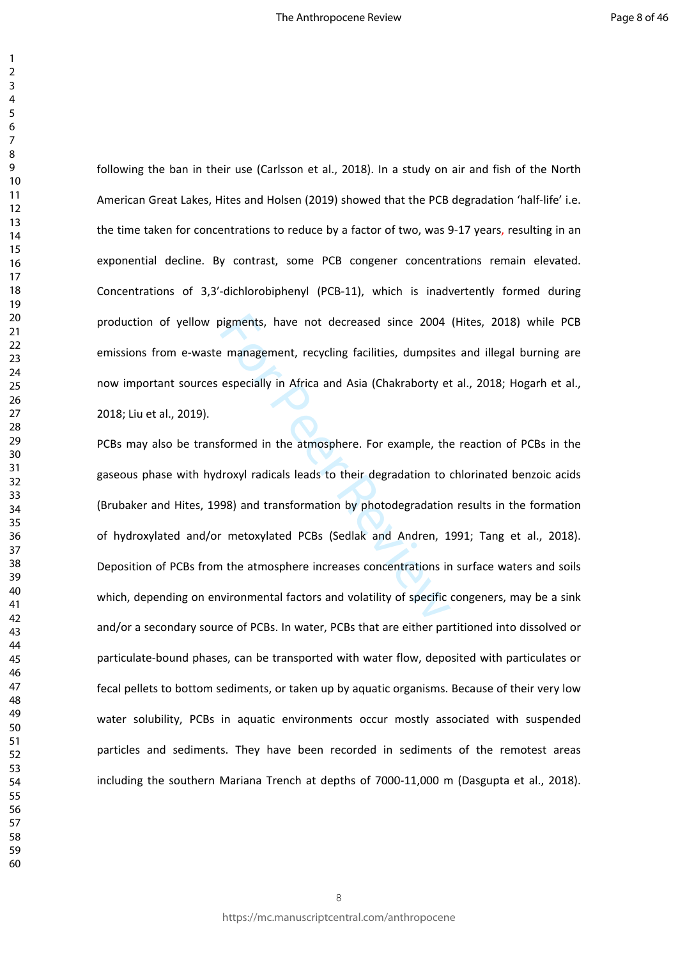following the ban in their use (Carlsson et al., 2018). In a study on air and fish of the North American Great Lakes, Hites and Holsen (2019) showed that the PCB degradation 'half-life' i.e. the time taken for concentrations to reduce by a factor of two, was 9-17 years, resulting in an exponential decline. By contrast, some PCB congener concentrations remain elevated. Concentrations of 3,3′-dichlorobiphenyl (PCB-11), which is inadvertently formed during production of yellow pigments, have not decreased since 2004 (Hites, 2018) while PCB emissions from e-waste management, recycling facilities, dumpsites and illegal burning are now important sources especially in Africa and Asia (Chakraborty et al., 2018; Hogarh et al., 2018; Liu et al., 2019).

bigments, have not decreased since 2004<br>
Examplement, recycling facilities, dumpsite<br>
especially in Africa and Asia (Chakraborty et<br>
formed in the atmosphere. For example, the<br>
droxyl radicals leads to their degradation to PCBs may also be transformed in the atmosphere. For example, the reaction of PCBs in the gaseous phase with hydroxyl radicals leads to their degradation to chlorinated benzoic acids (Brubaker and Hites, 1998) and transformation by photodegradation results in the formation of hydroxylated and/or metoxylated PCBs (Sedlak and Andren, 1991; Tang et al., 2018). Deposition of PCBs from the atmosphere increases concentrations in surface waters and soils which, depending on environmental factors and volatility of specific congeners, may be a sink and/or a secondary source of PCBs. In water, PCBs that are either partitioned into dissolved or particulate-bound phases, can be transported with water flow, deposited with particulates or fecal pellets to bottom sediments, or taken up by aquatic organisms. Because of their very low water solubility, PCBs in aquatic environments occur mostly associated with suspended particles and sediments. They have been recorded in sediments of the remotest areas including the southern Mariana Trench at depths of 7000-11,000 m (Dasgupta et al., 2018).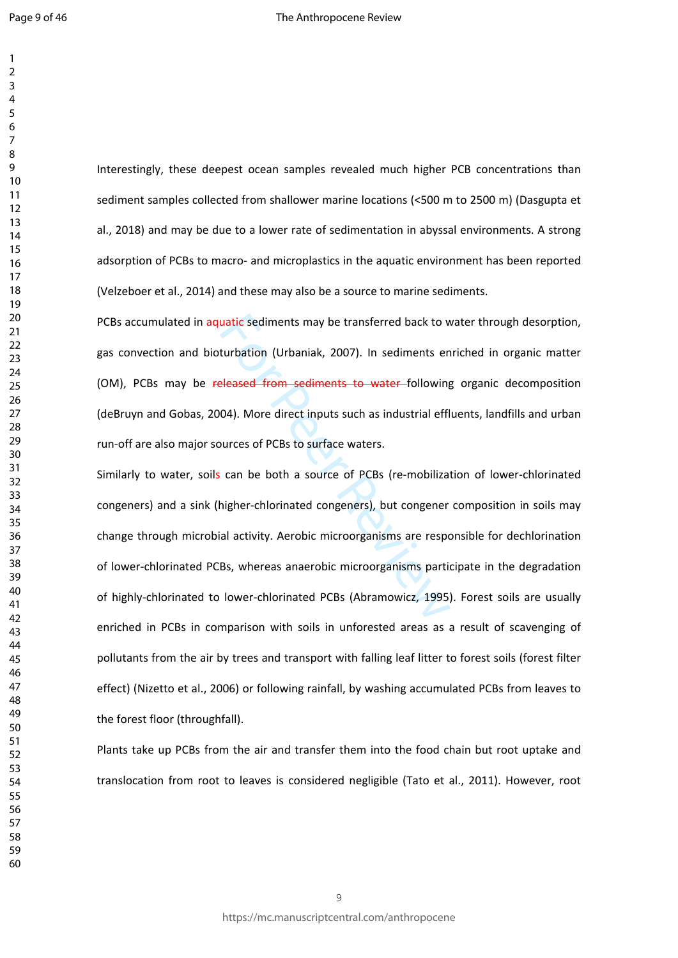Interestingly, these deepest ocean samples revealed much higher PCB concentrations than sediment samples collected from shallower marine locations (<500 m to 2500 m) (Dasgupta et al., 2018) and may be due to a lower rate of sedimentation in abyssal environments. A strong adsorption of PCBs to macro- and microplastics in the aquatic environment has been reported (Velzeboer et al., 2014) and these may also be a source to marine sediments.

PCBs accumulated in aquatic sediments may be transferred back to water through desorption, gas convection and bioturbation (Urbaniak, 2007). In sediments enriched in organic matter (OM), PCBs may be released from sediments to water following organic decomposition (deBruyn and Gobas, 2004). More direct inputs such as industrial effluents, landfills and urban run-off are also major sources of PCBs to surface waters.

uatic sediments may be transferred back to w<br>turbation (Urbaniak, 2007). In sediments en<br>eleased from sediments to water-following<br>04). More direct inputs such as industrial effl<br>burces of PCBs to surface waters.<br>can be bo Similarly to water, soils can be both a source of PCBs (re-mobilization of lower-chlorinated congeners) and a sink (higher-chlorinated congeners), but congener composition in soils may change through microbial activity. Aerobic microorganisms are responsible for dechlorination of lower-chlorinated PCBs, whereas anaerobic microorganisms participate in the degradation of highly-chlorinated to lower-chlorinated PCBs (Abramowicz, 1995). Forest soils are usually enriched in PCBs in comparison with soils in unforested areas as a result of scavenging of pollutants from the air by trees and transport with falling leaf litter to forest soils (forest filter effect) (Nizetto et al., 2006) or following rainfall, by washing accumulated PCBs from leaves to the forest floor (throughfall).

Plants take up PCBs from the air and transfer them into the food chain but root uptake and translocation from root to leaves is considered negligible (Tato et al., 2011). However, root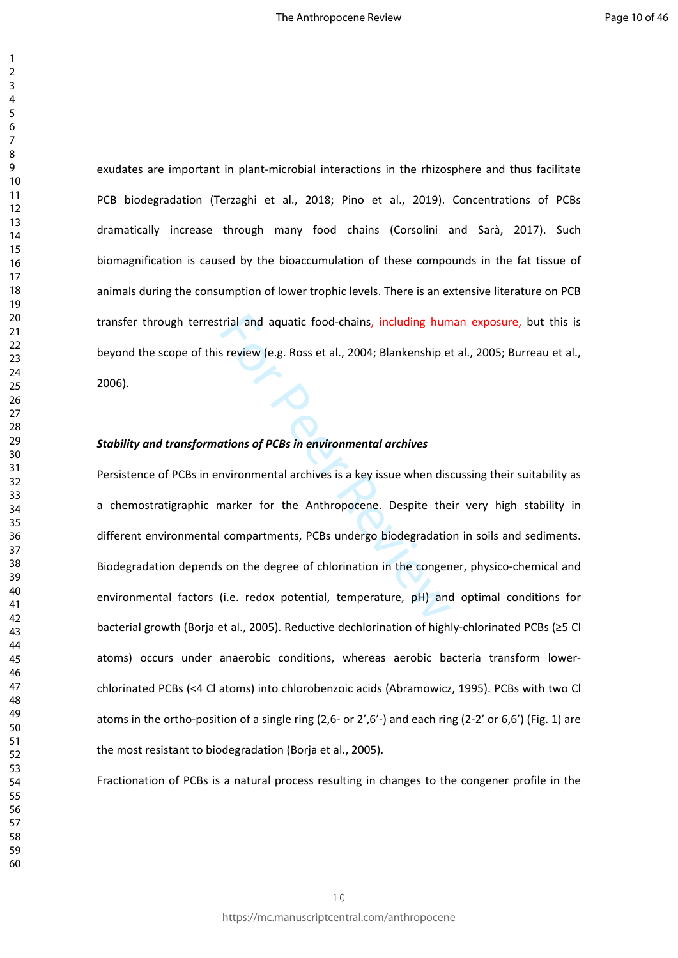exudates are important in plant-microbial interactions in the rhizosphere and thus facilitate PCB biodegradation (Terzaghi et al., 2018; Pino et al., 2019). Concentrations of PCBs dramatically increase through many food chains (Corsolini and Sarà, 2017). Such biomagnification is caused by the bioaccumulation of these compounds in the fat tissue of animals during the consumption of lower trophic levels. There is an extensive literature on PCB transfer through terrestrial and aquatic food-chains, including human exposure, but this is beyond the scope of this review (e.g. Ross et al., 2004; Blankenship et al., 2005; Burreau et al., 2006).

#### *Stability and transformations of PCBs in environmental archives*

trial and aquatic food-chains, including hum<br>
s review (e.g. Ross et al., 2004; Blankenship e<br> **actions of PCBs in environmental archives**<br>
muironmental archives is a key issue when dis<br>
marker for the Anthropocene. Despit Persistence of PCBs in environmental archives is a key issue when discussing their suitability as a chemostratigraphic marker for the Anthropocene. Despite their very high stability in different environmental compartments, PCBs undergo biodegradation in soils and sediments. Biodegradation depends on the degree of chlorination in the congener, physico-chemical and environmental factors (i.e. redox potential, temperature, pH) and optimal conditions for bacterial growth (Borja et al., 2005). Reductive dechlorination of highly-chlorinated PCBs (≥5 Cl atoms) occurs under anaerobic conditions, whereas aerobic bacteria transform lowerchlorinated PCBs (<4 Cl atoms) into chlorobenzoic acids (Abramowicz, 1995). PCBs with two Cl atoms in the ortho-position of a single ring (2,6- or 2',6'-) and each ring (2-2' or 6,6') (Fig. 1) are the most resistant to biodegradation (Borja et al., 2005).

Fractionation of PCBs is a natural process resulting in changes to the congener profile in the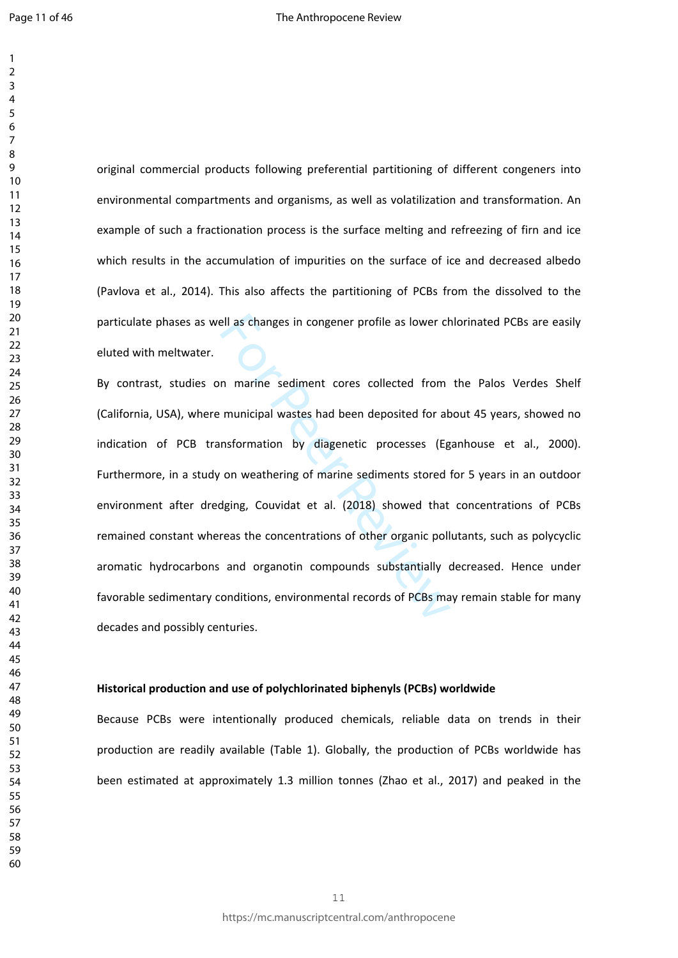original commercial products following preferential partitioning of different congeners into environmental compartments and organisms, as well as volatilization and transformation. An example of such a fractionation process is the surface melting and refreezing of firn and ice which results in the accumulation of impurities on the surface of ice and decreased albedo (Pavlova et al., 2014). This also affects the partitioning of PCBs from the dissolved to the particulate phases as well as changes in congener profile as lower chlorinated PCBs are easily eluted with meltwater.

ell as changes in congener profile as lower changes in congener profile as lower changes in congener profile as lower changes in municipal wastes had been deposited for all and more asthering of marine sediments stored dat By contrast, studies on marine sediment cores collected from the Palos Verdes Shelf (California, USA), where municipal wastes had been deposited for about 45 years, showed no indication of PCB transformation by diagenetic processes (Eganhouse et al., 2000). Furthermore, in a study on weathering of marine sediments stored for 5 years in an outdoor environment after dredging, Couvidat et al. (2018) showed that concentrations of PCBs remained constant whereas the concentrations of other organic pollutants, such as polycyclic aromatic hydrocarbons and organotin compounds substantially decreased. Hence under favorable sedimentary conditions, environmental records of PCBs may remain stable for many decades and possibly centuries.

#### **Historical production and use of polychlorinated biphenyls (PCBs) worldwide**

Because PCBs were intentionally produced chemicals, reliable data on trends in their production are readily available (Table 1). Globally, the production of PCBs worldwide has been estimated at approximately 1.3 million tonnes (Zhao et al., 2017) and peaked in the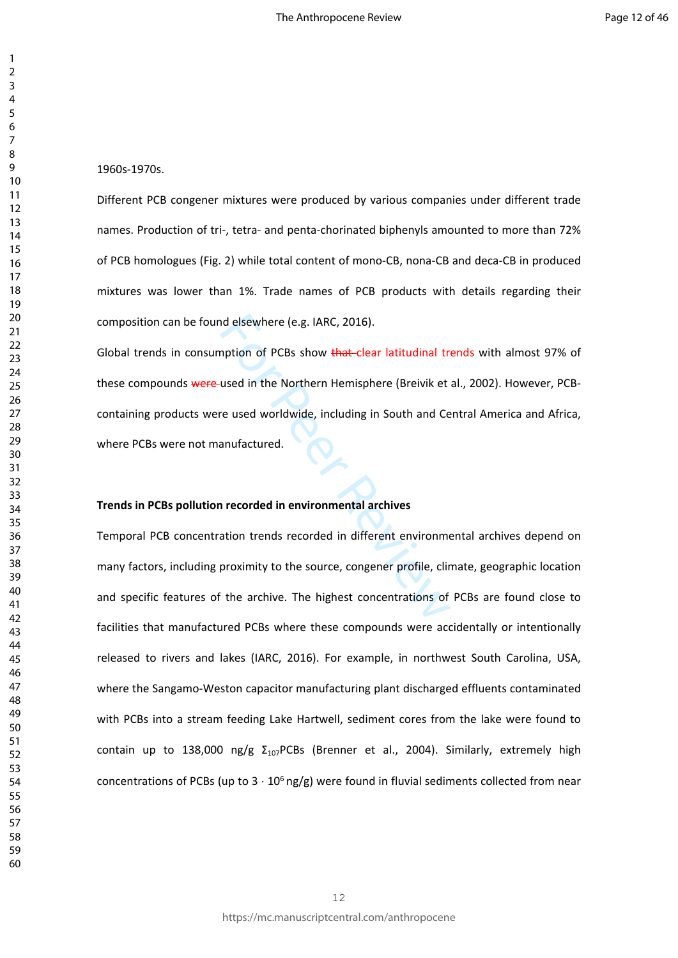1960s-1970s.

Different PCB congener mixtures were produced by various companies under different trade names. Production of tri-, tetra- and penta-chorinated biphenyls amounted to more than 72% of PCB homologues (Fig. 2) while total content of mono-CB, nona-CB and deca-CB in produced mixtures was lower than 1%. Trade names of PCB products with details regarding their composition can be found elsewhere (e.g. IARC, 2016).

nd elsewhere (e.g. IARC, 2016).<br>
Imption of PCBs show <del>that c</del>lear latitudinal tr<br>
used in the Northern Hemisphere (Breivik et<br>
re used worldwide, including in South and Ce<br>
anufactured.<br> **anufactured.**<br> **anufactured.**<br> **a** Global trends in consumption of PCBs show that-clear latitudinal trends with almost 97% of these compounds were used in the Northern Hemisphere (Breivik et al., 2002). However, PCBcontaining products were used worldwide, including in South and Central America and Africa, where PCBs were not manufactured.

#### **Trends in PCBs pollution recorded in environmental archives**

Temporal PCB concentration trends recorded in different environmental archives depend on many factors, including proximity to the source, congener profile, climate, geographic location and specific features of the archive. The highest concentrations of PCBs are found close to facilities that manufactured PCBs where these compounds were accidentally or intentionally released to rivers and lakes (IARC, 2016). For example, in northwest South Carolina, USA, where the Sangamo-Weston capacitor manufacturing plant discharged effluents contaminated with PCBs into a stream feeding Lake Hartwell, sediment cores from the lake were found to contain up to 138,000 ng/g  $\Sigma_{107}$ PCBs (Brenner et al., 2004). Similarly, extremely high concentrations of PCBs (up to  $3 \cdot 10^6$  ng/g) were found in fluvial sediments collected from near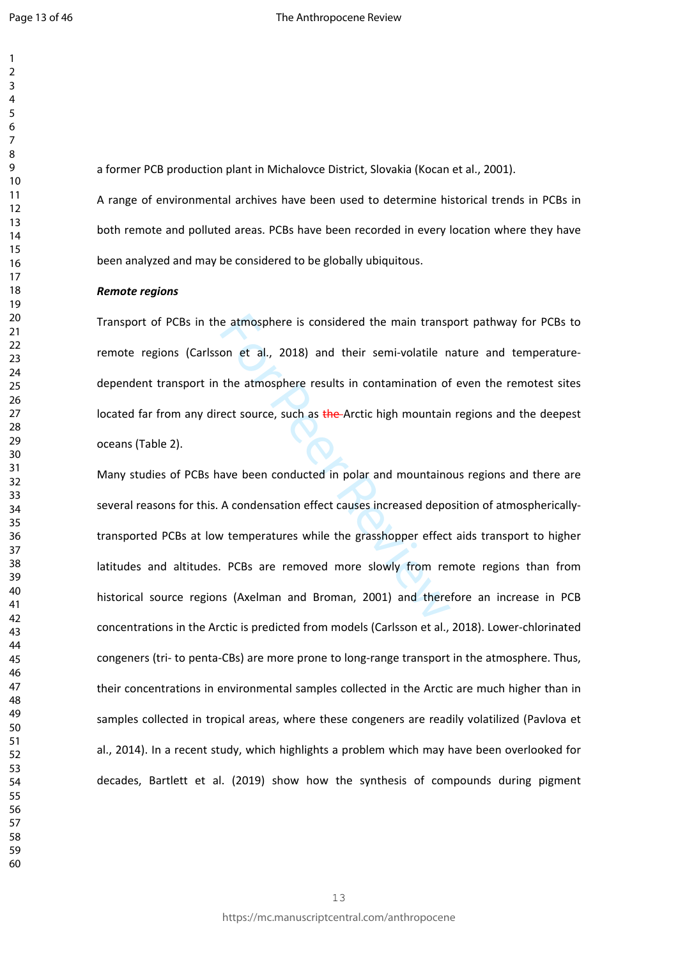a former PCB production plant in Michalovce District, Slovakia (Kocan et al., 2001).

A range of environmental archives have been used to determine historical trends in PCBs in both remote and polluted areas. PCBs have been recorded in every location where they have been analyzed and may be considered to be globally ubiquitous.

#### *Remote regions*

Transport of PCBs in the atmosphere is considered the main transport pathway for PCBs to remote regions (Carlsson et al., 2018) and their semi-volatile nature and temperaturedependent transport in the atmosphere results in contamination of even the remotest sites located far from any direct source, such as the Arctic high mountain regions and the deepest oceans (Table 2).

e atmosphere is considered the main transpronential, 2018) and their semi-volatile in<br>the atmosphere results in contamination of<br>rect source, such as the Arctic high mountain<br>ave been conducted in polar and mountainc<br>A con Many studies of PCBs have been conducted in polar and mountainous regions and there are several reasons for this. A condensation effect causes increased deposition of atmosphericallytransported PCBs at low temperatures while the grasshopper effect aids transport to higher latitudes and altitudes. PCBs are removed more slowly from remote regions than from historical source regions (Axelman and Broman, 2001) and therefore an increase in PCB concentrations in the Arctic is predicted from models (Carlsson et al., 2018). Lower-chlorinated congeners (tri- to penta-CBs) are more prone to long-range transport in the atmosphere. Thus, their concentrations in environmental samples collected in the Arctic are much higher than in samples collected in tropical areas, where these congeners are readily volatilized (Pavlova et al., 2014). In a recent study, which highlights a problem which may have been overlooked for decades, Bartlett et al. (2019) show how the synthesis of compounds during pigment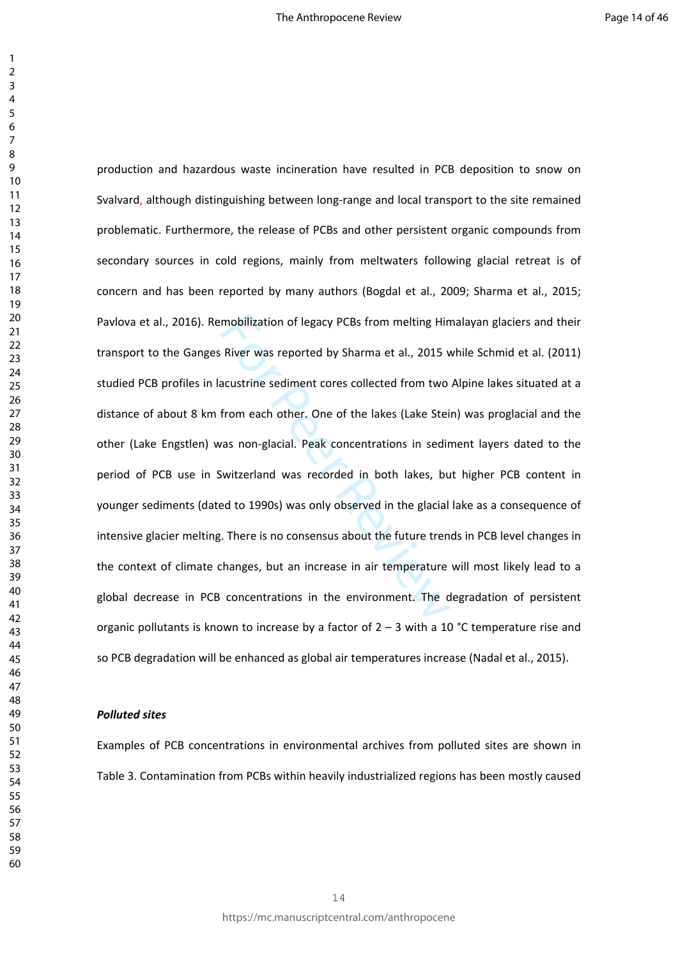mobilization of legacy PCBs from melting Hin<br>
River was reported by Sharma et al., 2015 v<br>
acustrine sediment cores collected from two<br>
from each other. One of the lakes (Lake Stei<br>
vas non-glacial. Peak concentrations in production and hazardous waste incineration have resulted in PCB deposition to snow on Svalvard, although distinguishing between long-range and local transport to the site remained problematic. Furthermore, the release of PCBs and other persistent organic compounds from secondary sources in cold regions, mainly from meltwaters following glacial retreat is of concern and has been reported by many authors (Bogdal et al., 2009; Sharma et al., 2015; Pavlova et al., 2016). Remobilization of legacy PCBs from melting Himalayan glaciers and their transport to the Ganges River was reported by Sharma et al., 2015 while Schmid et al. (2011) studied PCB profiles in lacustrine sediment cores collected from two Alpine lakes situated at a distance of about 8 km from each other. One of the lakes (Lake Stein) was proglacial and the other (Lake Engstlen) was non-glacial. Peak concentrations in sediment layers dated to the period of PCB use in Switzerland was recorded in both lakes, but higher PCB content in younger sediments (dated to 1990s) was only observed in the glacial lake as a consequence of intensive glacier melting. There is no consensus about the future trends in PCB level changes in the context of climate changes, but an increase in air temperature will most likely lead to a global decrease in PCB concentrations in the environment. The degradation of persistent organic pollutants is known to increase by a factor of  $2 - 3$  with a 10 °C temperature rise and so PCB degradation will be enhanced as global air temperatures increase (Nadal et al., 2015).

#### *Polluted sites*

Examples of PCB concentrations in environmental archives from polluted sites are shown in Table 3. Contamination from PCBs within heavily industrialized regions has been mostly caused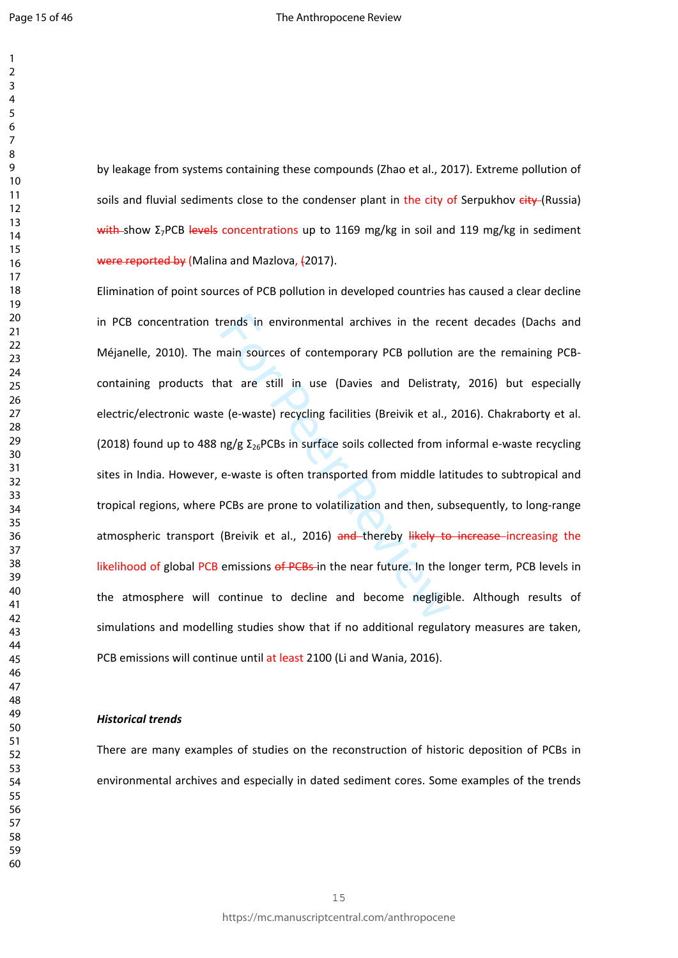$\mathbf{1}$ 

by leakage from systems containing these compounds (Zhao et al., 2017). Extreme pollution of soils and fluvial sediments close to the condenser plant in the city of Serpukhov eity (Russia) with-show Σ<sub>7</sub>PCB levels concentrations up to 1169 mg/kg in soil and 119 mg/kg in sediment were reported by (Malina and Mazlova, (2017).

rends in environmental archives in the rec<br>main sources of contemporary PCB pollution<br>hat are still in use (Davies and Delistrat<br>e (e-waste) recycling facilities (Breivik et al.,<br>ng/g  $\Sigma_{26}$ PCBs in surface soils collect Elimination of point sources of PCB pollution in developed countries has caused a clear decline in PCB concentration trends in environmental archives in the recent decades (Dachs and Méjanelle, 2010). The main sources of contemporary PCB pollution are the remaining PCBcontaining products that are still in use (Davies and Delistraty, 2016) but especially electric/electronic waste (e-waste) recycling facilities (Breivik et al., 2016). Chakraborty et al. (2018) found up to 488 ng/g  $\Sigma_{26}$ PCBs in surface soils collected from informal e-waste recycling sites in India. However, e-waste is often transported from middle latitudes to subtropical and tropical regions, where PCBs are prone to volatilization and then, subsequently, to long-range atmospheric transport (Breivik et al., 2016) and thereby likely to increase increasing the likelihood of global PCB emissions of PCBs-in the near future. In the longer term, PCB levels in the atmosphere will continue to decline and become negligible. Although results of simulations and modelling studies show that if no additional regulatory measures are taken, PCB emissions will continue until at least 2100 (Li and Wania, 2016).

#### *Historical trends*

There are many examples of studies on the reconstruction of historic deposition of PCBs in environmental archives and especially in dated sediment cores. Some examples of the trends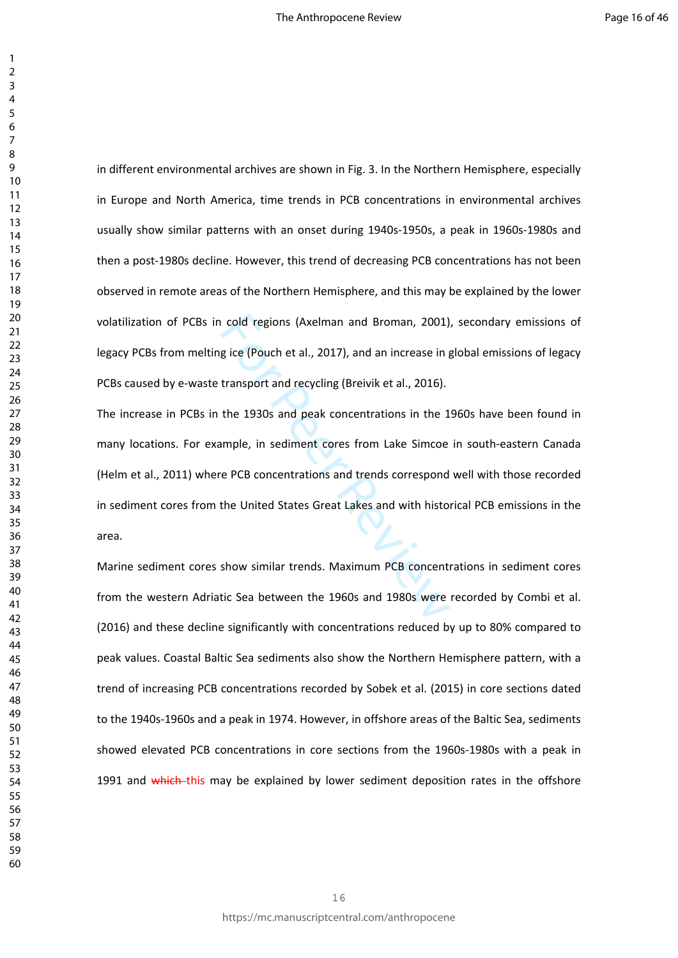in different environmental archives are shown in Fig. 3. In the Northern Hemisphere, especially in Europe and North America, time trends in PCB concentrations in environmental archives usually show similar patterns with an onset during 1940s-1950s, a peak in 1960s-1980s and then a post-1980s decline. However, this trend of decreasing PCB concentrations has not been observed in remote areas of the Northern Hemisphere, and this may be explained by the lower volatilization of PCBs in cold regions (Axelman and Broman, 2001), secondary emissions of legacy PCBs from melting ice (Pouch et al., 2017), and an increase in global emissions of legacy PCBs caused by e-waste transport and recycling (Breivik et al., 2016).

represent and Broman, 2001)<br>gice (Pouch et al., 2017), and an increase in g<br>transport and recycling (Breivik et al., 2016).<br>the 1930s and peak concentrations in the 1<br>ample, in sediment cores from Lake Simcoe<br>re PCB concen The increase in PCBs in the 1930s and peak concentrations in the 1960s have been found in many locations. For example, in sediment cores from Lake Simcoe in south-eastern Canada (Helm et al., 2011) where PCB concentrations and trends correspond well with those recorded in sediment cores from the United States Great Lakes and with historical PCB emissions in the area.

Marine sediment cores show similar trends. Maximum PCB concentrations in sediment cores from the western Adriatic Sea between the 1960s and 1980s were recorded by Combi et al. (2016) and these decline significantly with concentrations reduced by up to 80% compared to peak values. Coastal Baltic Sea sediments also show the Northern Hemisphere pattern, with a trend of increasing PCB concentrations recorded by Sobek et al. (2015) in core sections dated to the 1940s-1960s and a peak in 1974. However, in offshore areas of the Baltic Sea, sediments showed elevated PCB concentrations in core sections from the 1960s-1980s with a peak in 1991 and which this may be explained by lower sediment deposition rates in the offshore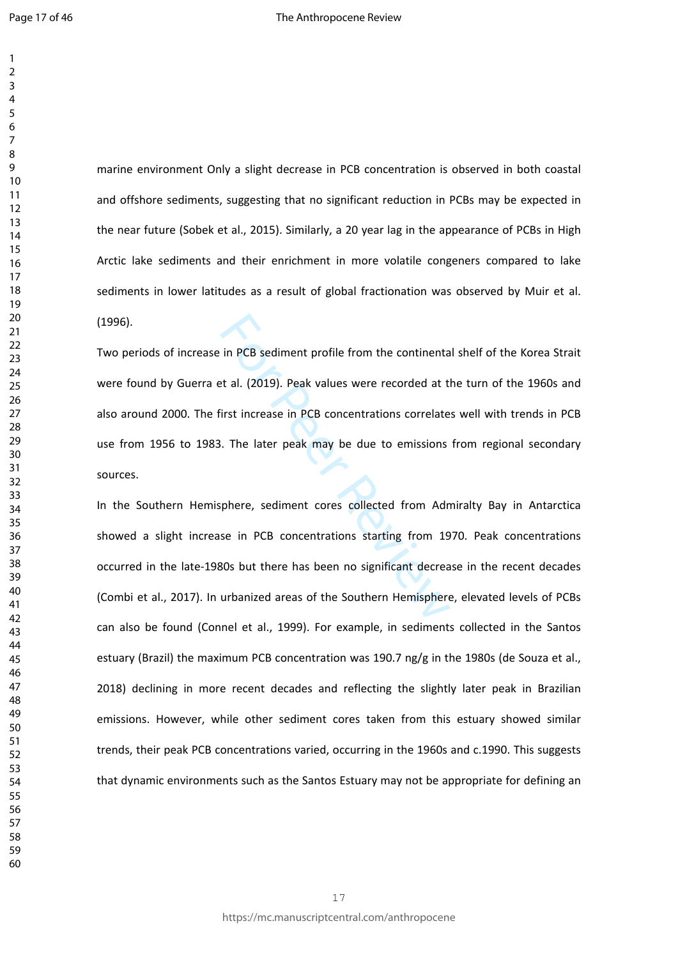marine environment Only a slight decrease in PCB concentration is observed in both coastal and offshore sediments, suggesting that no significant reduction in PCBs may be expected in the near future (Sobek et al., 2015). Similarly, a 20 year lag in the appearance of PCBs in High Arctic lake sediments and their enrichment in more volatile congeners compared to lake sediments in lower latitudes as a result of global fractionation was observed by Muir et al. (1996).

in PCB sediment profile from the continenta<br>
External text al. (2019). Peak values were recorded at the<br>
First increase in PCB concentrations correlate<br>
1. The later peak may be due to emissions<br>
1. The later peak may be d Two periods of increase in PCB sediment profile from the continental shelf of the Korea Strait were found by Guerra et al. (2019). Peak values were recorded at the turn of the 1960s and also around 2000. The first increase in PCB concentrations correlates well with trends in PCB use from 1956 to 1983. The later peak may be due to emissions from regional secondary sources.

In the Southern Hemisphere, sediment cores collected from Admiralty Bay in Antarctica showed a slight increase in PCB concentrations starting from 1970. Peak concentrations occurred in the late-1980s but there has been no significant decrease in the recent decades (Combi et al., 2017). In urbanized areas of the Southern Hemisphere, elevated levels of PCBs can also be found (Connel et al., 1999). For example, in sediments collected in the Santos estuary (Brazil) the maximum PCB concentration was 190.7 ng/g in the 1980s (de Souza et al., 2018) declining in more recent decades and reflecting the slightly later peak in Brazilian emissions. However, while other sediment cores taken from this estuary showed similar trends, their peak PCB concentrations varied, occurring in the 1960s and c.1990. This suggests that dynamic environments such as the Santos Estuary may not be appropriate for defining an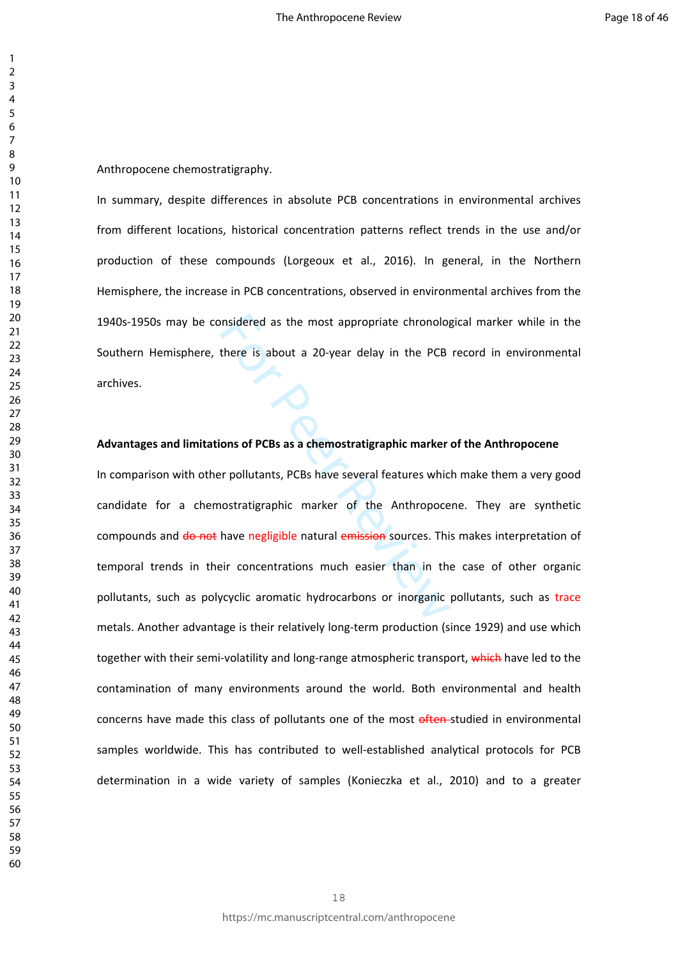Anthropocene chemostratigraphy.

In summary, despite differences in absolute PCB concentrations in environmental archives from different locations, historical concentration patterns reflect trends in the use and/or production of these compounds (Lorgeoux et al., 2016). In general, in the Northern Hemisphere, the increase in PCB concentrations, observed in environmental archives from the 1940s-1950s may be considered as the most appropriate chronological marker while in the Southern Hemisphere, there is about a 20-year delay in the PCB record in environmental archives.

#### **Advantages and limitations of PCBs as a chemostratigraphic marker of the Anthropocene**

Insidered as the most appropriate chronology<br>
there is about a 20-year delay in the PCB<br> **Formal Algeria and Alger Strategy Section**<br> **Formal Alger Strategy Section 2016**<br> **Formal Alger Strategy Section 2016**<br> **Example 201** In comparison with other pollutants, PCBs have several features which make them a very good candidate for a chemostratigraphic marker of the Anthropocene. They are synthetic compounds and do not have negligible natural emission sources. This makes interpretation of temporal trends in their concentrations much easier than in the case of other organic pollutants, such as polycyclic aromatic hydrocarbons or inorganic pollutants, such as trace metals. Another advantage is their relatively long-term production (since 1929) and use which together with their semi-volatility and long-range atmospheric transport, which have led to the contamination of many environments around the world. Both environmental and health concerns have made this class of pollutants one of the most often-studied in environmental samples worldwide. This has contributed to well-established analytical protocols for PCB determination in a wide variety of samples (Konieczka et al., 2010) and to a greater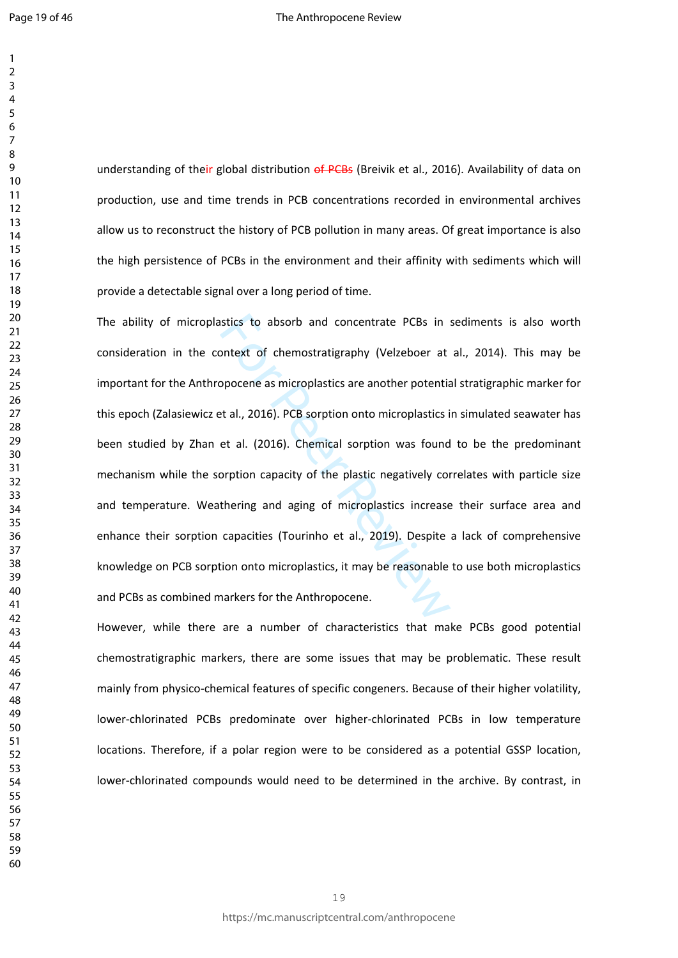understanding of their global distribution of PCBs (Breivik et al., 2016). Availability of data on production, use and time trends in PCB concentrations recorded in environmental archives allow us to reconstruct the history of PCB pollution in many areas. Of great importance is also the high persistence of PCBs in the environment and their affinity with sediments which will provide a detectable signal over a long period of time.

Instics to absorb and concentrate PCBs in a<br>solution of chemostratigraphy (Velzeboer at<br>spocene as microplastics are another potential<br>et al. (2016). PCB sorption onto microplastics i<br>et al. (2016). Chemical sorption was f The ability of microplastics to absorb and concentrate PCBs in sediments is also worth consideration in the context of chemostratigraphy (Velzeboer at al., 2014). This may be important for the Anthropocene as microplastics are another potential stratigraphic marker for this epoch (Zalasiewicz et al., 2016). PCB sorption onto microplastics in simulated seawater has been studied by Zhan et al. (2016). Chemical sorption was found to be the predominant mechanism while the sorption capacity of the plastic negatively correlates with particle size and temperature. Weathering and aging of microplastics increase their surface area and enhance their sorption capacities (Tourinho et al., 2019). Despite a lack of comprehensive knowledge on PCB sorption onto microplastics, it may be reasonable to use both microplastics and PCBs as combined markers for the Anthropocene.

However, while there are a number of characteristics that make PCBs good potential chemostratigraphic markers, there are some issues that may be problematic. These result mainly from physico-chemical features of specific congeners. Because of their higher volatility, lower-chlorinated PCBs predominate over higher-chlorinated PCBs in low temperature locations. Therefore, if a polar region were to be considered as a potential GSSP location, lower-chlorinated compounds would need to be determined in the archive. By contrast, in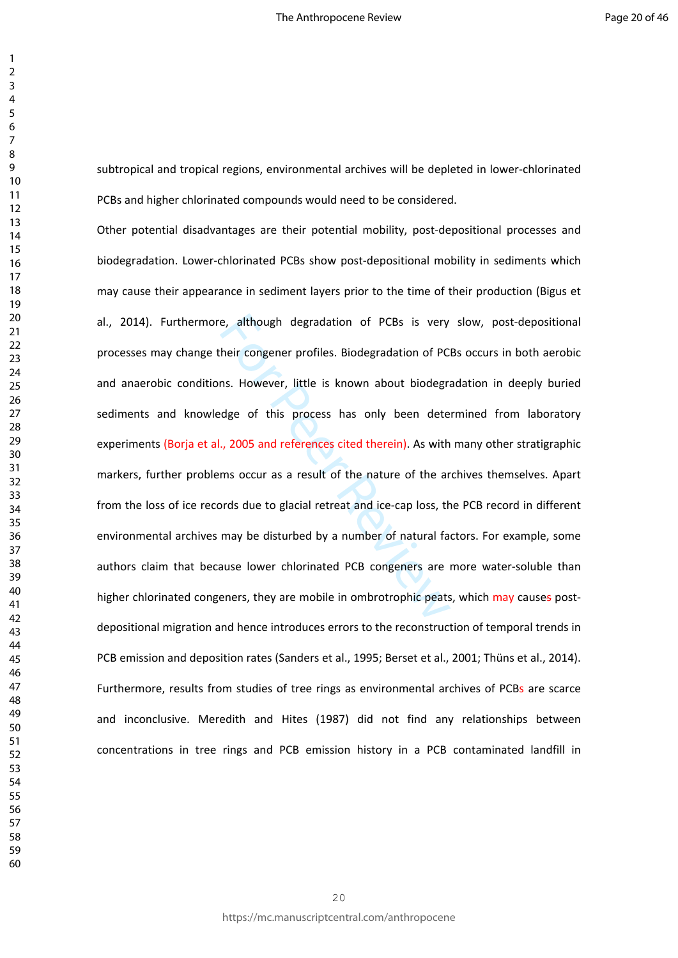subtropical and tropical regions, environmental archives will be depleted in lower-chlorinated PCBs and higher chlorinated compounds would need to be considered.

e, although degradation of PCBs is very<br>heir congener profiles. Biodegradation of PC<br>ms. However, little is known about biodegradation<br>of PC<br>ms. However, little is known about biodegrade<br>dge of this process has only been d Other potential disadvantages are their potential mobility, post-depositional processes and biodegradation. Lower-chlorinated PCBs show post-depositional mobility in sediments which may cause their appearance in sediment layers prior to the time of their production (Bigus et al., 2014). Furthermore, although degradation of PCBs is very slow, post-depositional processes may change their congener profiles. Biodegradation of PCBs occurs in both aerobic and anaerobic conditions. However, little is known about biodegradation in deeply buried sediments and knowledge of this process has only been determined from laboratory experiments (Borja et al., 2005 and references cited therein). As with many other stratigraphic markers, further problems occur as a result of the nature of the archives themselves. Apart from the loss of ice records due to glacial retreat and ice-cap loss, the PCB record in different environmental archives may be disturbed by a number of natural factors. For example, some authors claim that because lower chlorinated PCB congeners are more water-soluble than higher chlorinated congeners, they are mobile in ombrotrophic peats, which may causes postdepositional migration and hence introduces errors to the reconstruction of temporal trends in PCB emission and deposition rates (Sanders et al., 1995; Berset et al., 2001; Thüns et al., 2014). Furthermore, results from studies of tree rings as environmental archives of PCBs are scarce and inconclusive. Meredith and Hites (1987) did not find any relationships between concentrations in tree rings and PCB emission history in a PCB contaminated landfill in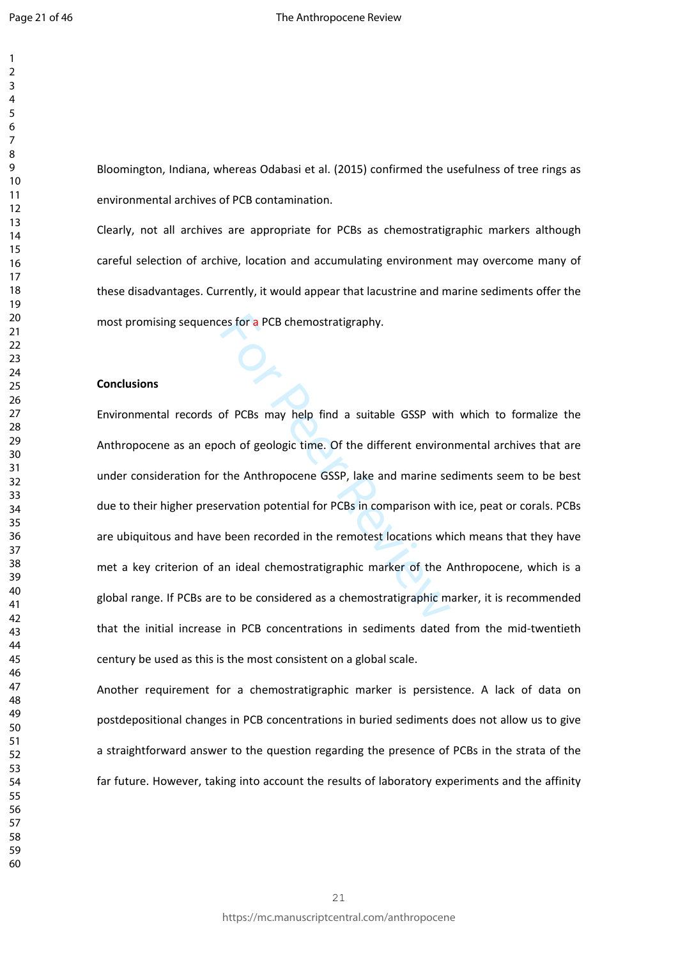Bloomington, Indiana, whereas Odabasi et al. (2015) confirmed the usefulness of tree rings as environmental archives of PCB contamination.

Clearly, not all archives are appropriate for PCBs as chemostratigraphic markers although careful selection of archive, location and accumulating environment may overcome many of these disadvantages. Currently, it would appear that lacustrine and marine sediments offer the most promising sequences for a PCB chemostratigraphy.

## **Conclusions**

The set of a PCB chemostratigraphy.<br>
Set of PCBs may help find a suitable GSSP with<br>
Set of peologic time. Of the different enviror<br>
the Anthropocene GSSP, lake and marine se<br>
Experience of SSP, lake and marine se<br>
Set of Environmental records of PCBs may help find a suitable GSSP with which to formalize the Anthropocene as an epoch of geologic time. Of the different environmental archives that are under consideration for the Anthropocene GSSP, lake and marine sediments seem to be best due to their higher preservation potential for PCBs in comparison with ice, peat or corals. PCBs are ubiquitous and have been recorded in the remotest locations which means that they have met a key criterion of an ideal chemostratigraphic marker of the Anthropocene, which is a global range. If PCBs are to be considered as a chemostratigraphic marker, it is recommended that the initial increase in PCB concentrations in sediments dated from the mid-twentieth century be used as this is the most consistent on a global scale.

Another requirement for a chemostratigraphic marker is persistence. A lack of data on postdepositional changes in PCB concentrations in buried sediments does not allow us to give a straightforward answer to the question regarding the presence of PCBs in the strata of the far future. However, taking into account the results of laboratory experiments and the affinity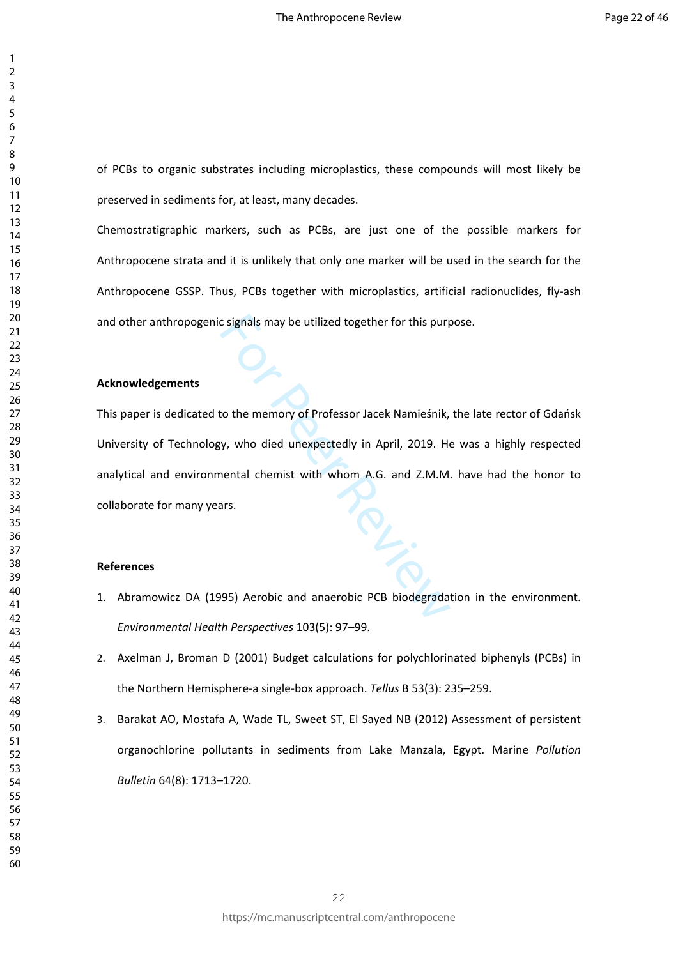of PCBs to organic substrates including microplastics, these compounds will most likely be preserved in sediments for, at least, many decades.

Chemostratigraphic markers, such as PCBs, are just one of the possible markers for Anthropocene strata and it is unlikely that only one marker will be used in the search for the Anthropocene GSSP. Thus, PCBs together with microplastics, artificial radionuclides, fly-ash and other anthropogenic signals may be utilized together for this purpose.

## **Acknowledgements**

c signals may be utilized together for this purp This paper is dedicated to the memory of Professor Jacek Namieśnik, the late rector of Gdańsk University of Technology, who died unexpectedly in April, 2019. He was a highly respected analytical and environmental chemist with whom A.G. and Z.M.M. have had the honor to collaborate for many years.

# **References**

- 1. Abramowicz DA (1995) Aerobic and anaerobic PCB biodegradation in the environment. *Environmental Health Perspectives* 103(5): 97–99.
- 2. Axelman J, Broman D (2001) Budget calculations for polychlorinated biphenyls (PCBs) in the Northern Hemisphere-a single-box approach. *Tellus* B 53(3): 235–259.
- 3. Barakat AO, Mostafa A, Wade TL, Sweet ST, El Sayed NB (2012) Assessment of persistent organochlorine pollutants in sediments from Lake Manzala, Egypt. Marine *Pollution Bulletin* 64(8): 1713–1720.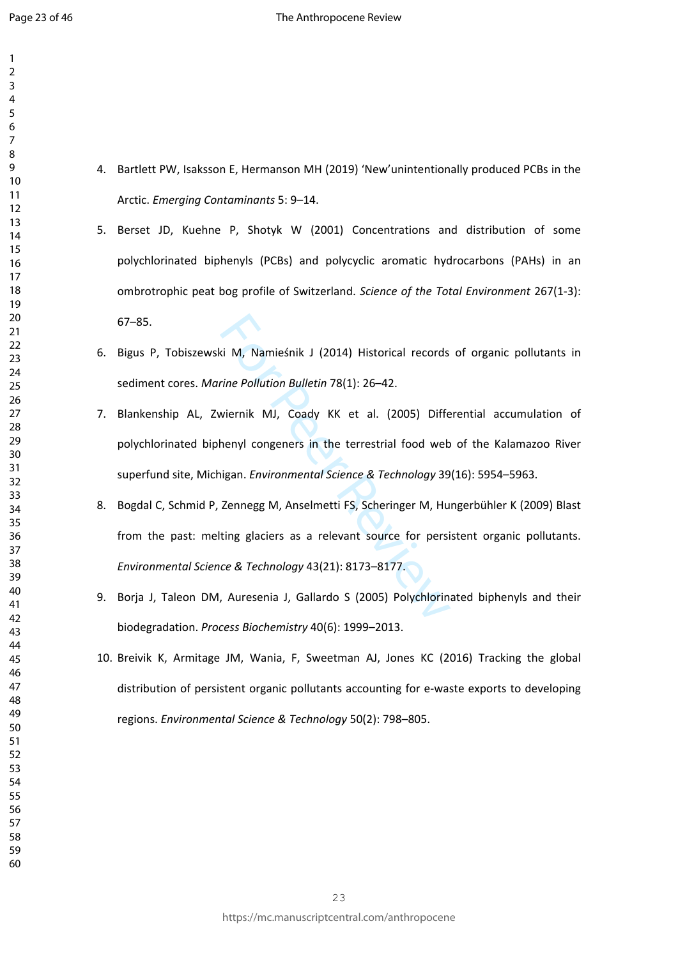- 4. Bartlett PW, Isaksson E, Hermanson MH (2019) 'New'unintentionally produced PCBs in the Arctic. *Emerging Contaminants* 5: 9–14.
	- 5. Berset JD, Kuehne P, Shotyk W (2001) Concentrations and distribution of some polychlorinated biphenyls (PCBs) and polycyclic aromatic hydrocarbons (PAHs) in an ombrotrophic peat bog profile of Switzerland. *Science of the Total Environment* 267(1-3): 67–85.
	- 6. Bigus P, Tobiszewski M, Namieśnik J (2014) Historical records of organic pollutants in sediment cores. *Marine Pollution Bulletin* 78(1): 26–42.
	- 7. Blankenship AL, Zwiernik MJ, Coady KK et al. (2005) Differential accumulation of polychlorinated biphenyl congeners in the terrestrial food web of the Kalamazoo River superfund site, Michigan. *Environmental Science & Technology* 39(16): 5954–5963.
	- ki M, Namieśnik J (2014) Historical records<br>
	Frine Pollution Bulletin 78(1): 26–42.<br>
	Wiernik MJ, Coady KK et al. (2005) Differ<br>
	henyl congeners in the terrestrial food web<br>
	higan. Environmental Science & Technology 39<br>
	Zen 8. Bogdal C, Schmid P, Zennegg M, Anselmetti FS, Scheringer M, Hungerbühler K (2009) Blast from the past: melting glaciers as a relevant source for persistent organic pollutants. *Environmental Science & Technology* 43(21): 8173–8177.
	- 9. Borja J, Taleon DM, Auresenia J, Gallardo S (2005) Polychlorinated biphenyls and their biodegradation. *Process Biochemistry* 40(6): 1999–2013.
	- 10. Breivik K, Armitage JM, Wania, F, Sweetman AJ, Jones KC (2016) Tracking the global distribution of persistent organic pollutants accounting for e-waste exports to developing regions. *Environmental Science & Technology* 50(2): 798–805.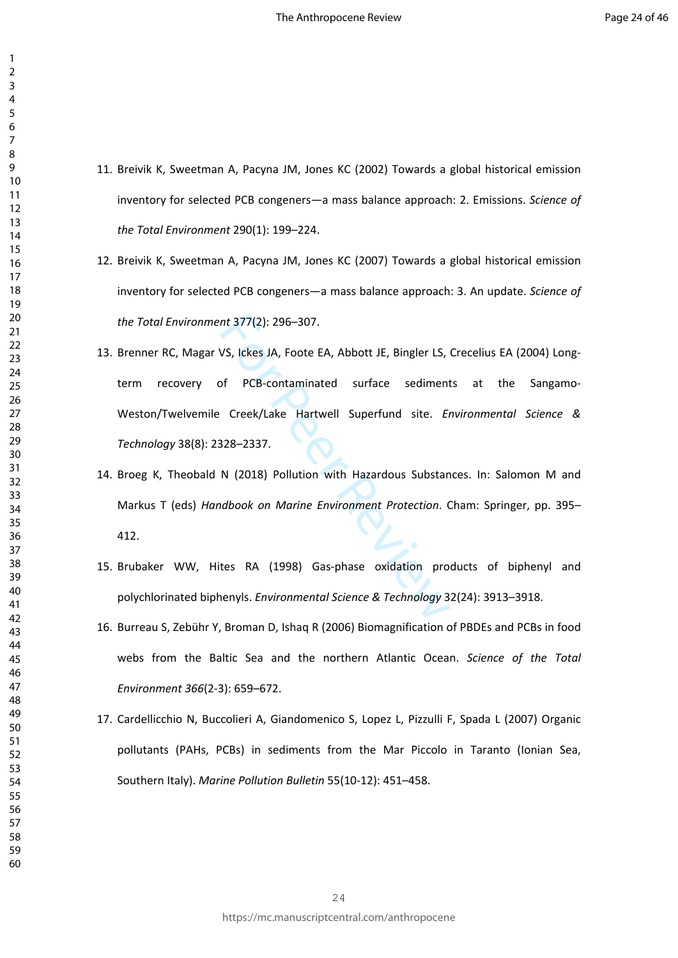- 11. Breivik K, Sweetman A, Pacyna JM, Jones KC (2002) Towards a global historical emission inventory for selected PCB congeners—a mass balance approach: 2. Emissions. *Science of the Total Environment* 290(1): 199–224.
- 12. Breivik K, Sweetman A, Pacyna JM, Jones KC (2007) Towards a global historical emission inventory for selected PCB congeners—a mass balance approach: 3. An update. *Science of the Total Environment* 377(2): 296–307.
- nt 377(2): 296–307.<br>VS, Ickes JA, Foote EA, Abbott JE, Bingler LS,<br>of PCB-contaminated surface sediment<br>Creek/Lake Hartwell Superfund site. En<br>328–2337.<br>N (2018) Pollution with Hazardous Substan<br>adbook on Marine Environmen 13. Brenner RC, Magar VS, Ickes JA, Foote EA, Abbott JE, Bingler LS, Crecelius EA (2004) Longterm recovery of PCB-contaminated surface sediments at the Sangamo-Weston/Twelvemile Creek/Lake Hartwell Superfund site. *Environmental Science & Technology* 38(8): 2328–2337.
- 14. Broeg K, Theobald N (2018) Pollution with Hazardous Substances. In: Salomon M and Markus T (eds) *Handbook on Marine Environment Protection*. Cham: Springer, pp. 395– 412.
- 15. Brubaker WW, Hites RA (1998) Gas-phase oxidation products of biphenyl and polychlorinated biphenyls. *Environmental Science & Technology* 32(24): 3913–3918.
- 16. Burreau S, Zebühr Y, Broman D, Ishaq R (2006) Biomagnification of PBDEs and PCBs in food webs from the Baltic Sea and the northern Atlantic Ocean. *Science of the Total Environment 366*(2-3): 659–672.
- 17. Cardellicchio N, Buccolieri A, Giandomenico S, Lopez L, Pizzulli F, Spada L (2007) Organic pollutants (PAHs, PCBs) in sediments from the Mar Piccolo in Taranto (Ionian Sea, Southern Italy). *Marine Pollution Bulletin* 55(10-12): 451–458.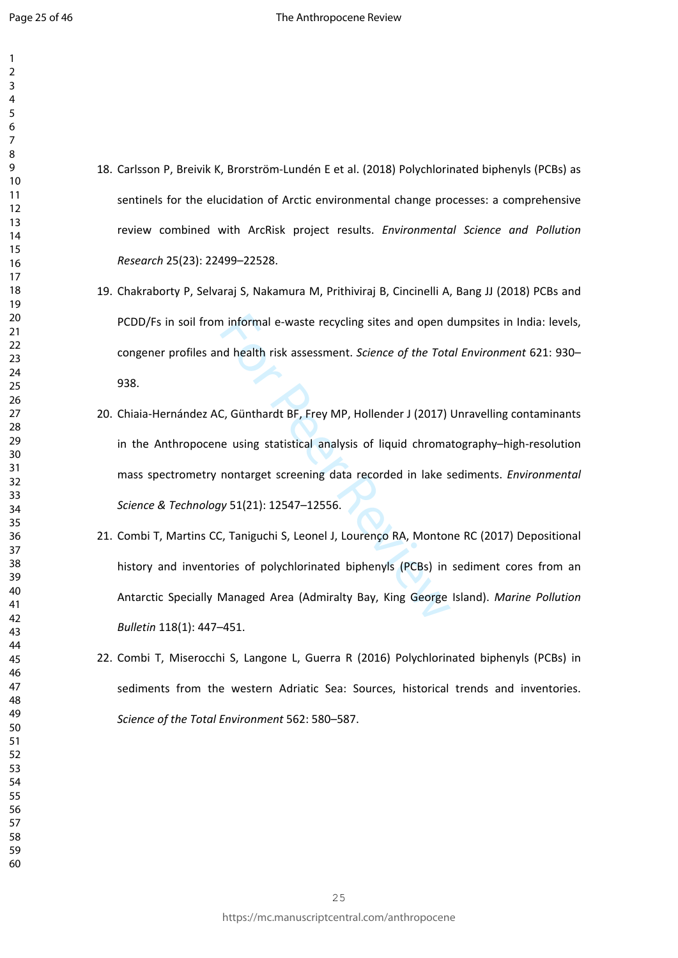- 18. Carlsson P, Breivik K, Brorström-Lundén E et al. (2018) Polychlorinated biphenyls (PCBs) as sentinels for the elucidation of Arctic environmental change processes: a comprehensive review combined with ArcRisk project results. *Environmental Science and Pollution Research* 25(23): 22499–22528.
- 19. Chakraborty P, Selvaraj S, Nakamura M, Prithiviraj B, Cincinelli A, Bang JJ (2018) PCBs and PCDD/Fs in soil from informal e-waste recycling sites and open dumpsites in India: levels, congener profiles and health risk assessment. *Science of the Total Environment* 621: 930– 938.
- In informal e-waste recycling sites and open c<br>
And health risk assessment. *Science of the Toto*<br>
C, Günthardt BF, Frey MP, Hollender J (2017)<br>
In using statistical analysis of liquid chroma<br>
nontarget screening data reco 20. Chiaia-Hernández AC, Günthardt BF, Frey MP, Hollender J (2017) Unravelling contaminants in the Anthropocene using statistical analysis of liquid chromatography–high-resolution mass spectrometry nontarget screening data recorded in lake sediments. *Environmental Science & Technology* 51(21): 12547–12556.
- 21. Combi T, Martins CC, Taniguchi S, Leonel J, Lourenço RA, Montone RC (2017) Depositional history and inventories of polychlorinated biphenyls (PCBs) in sediment cores from an Antarctic Specially Managed Area (Admiralty Bay, King George Island). *Marine Pollution Bulletin* 118(1): 447–451.
- 22. Combi T, Miserocchi S, Langone L, Guerra R (2016) Polychlorinated biphenyls (PCBs) in sediments from the western Adriatic Sea: Sources, historical trends and inventories. *Science of the Total Environment* 562: 580–587.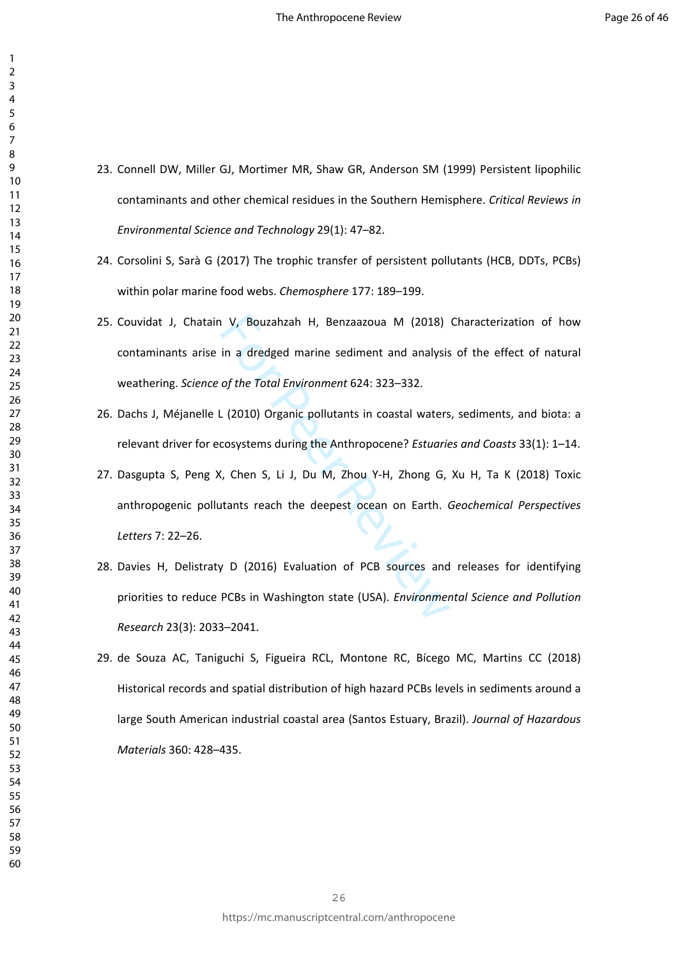- 23. Connell DW, Miller GJ, Mortimer MR, Shaw GR, Anderson SM (1999) Persistent lipophilic contaminants and other chemical residues in the Southern Hemisphere. *Critical Reviews in Environmental Science and Technology* 29(1): 47–82.
- 24. Corsolini S, Sarà G (2017) The trophic transfer of persistent pollutants (HCB, DDTs, PCBs) within polar marine food webs. *Chemosphere* 177: 189–199.
- V, Bouzahzah H, Benzaazoua M (2018)<br>in a dredged marine sediment and analysis<br>of the Total Environment 624: 323–332.<br>L (2010) Organic pollutants in coastal waters<br>cosystems during the Anthropocene? Estuarie<br>(, Chen S, Li J 25. Couvidat J, Chatain V, Bouzahzah H, Benzaazoua M (2018) Characterization of how contaminants arise in a dredged marine sediment and analysis of the effect of natural weathering. *Science of the Total Environment* 624: 323–332.
- 26. Dachs J, Méjanelle L (2010) Organic pollutants in coastal waters, sediments, and biota: a relevant driver for ecosystems during the Anthropocene? *Estuaries and Coasts* 33(1): 1–14.
- 27. Dasgupta S, Peng X, Chen S, Li J, Du M, Zhou Y-H, Zhong G, Xu H, Ta K (2018) Toxic anthropogenic pollutants reach the deepest ocean on Earth. *Geochemical Perspectives Letters* 7: 22–26.
- 28. Davies H, Delistraty D (2016) Evaluation of PCB sources and releases for identifying priorities to reduce PCBs in Washington state (USA). *Environmental Science and Pollution Research* 23(3): 2033–2041.
- 29. de Souza AC, Taniguchi S, Figueira RCL, Montone RC, Bícego MC, Martins CC (2018) Historical records and spatial distribution of high hazard PCBs levels in sediments around a large South American industrial coastal area (Santos Estuary, Brazil). *Journal of Hazardous Materials* 360: 428–435.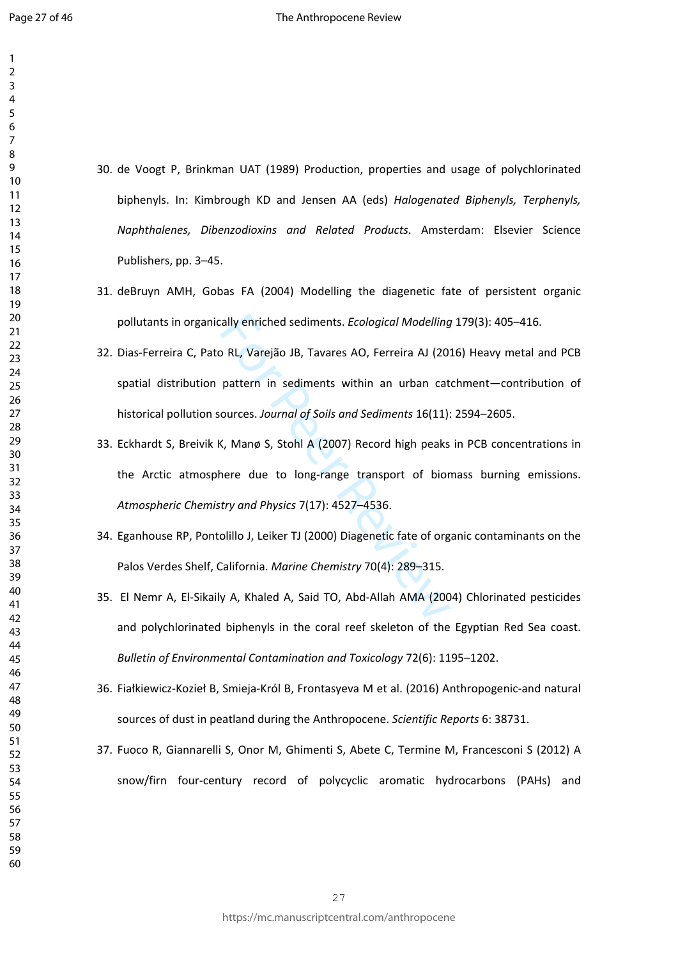- $\overline{3}$  $\overline{4}$  $\overline{7}$  $\mathsf{Q}$
- 30. de Voogt P, Brinkman UAT (1989) Production, properties and usage of polychlorinated biphenyls. In: Kimbrough KD and Jensen AA (eds) *Halogenated Biphenyls, Terphenyls, Naphthalenes, Dibenzodioxins and Related Products*. Amsterdam: Elsevier Science Publishers, pp. 3–45.
- 31. deBruyn AMH, Gobas FA (2004) Modelling the diagenetic fate of persistent organic pollutants in organically enriched sediments. *Ecological Modelling* 179(3): 405–416.
- cally enriched sediments. *Ecological Modelling*<br>
D RL, Varejão JB, Tavares AO, Ferreira AJ (20)<br>
pattern in sediments within an urban cat<br>
ources. Journal of Soils and Sediments 16(11):<br>
K, Manø S, Stohl A (2007) Record h 32. Dias-Ferreira C, Pato RL, Varejão JB, Tavares AO, Ferreira AJ (2016) Heavy metal and PCB spatial distribution pattern in sediments within an urban catchment—contribution of historical pollution sources. *Journal of Soils and Sediments* 16(11): 2594–2605.
- 33. Eckhardt S, Breivik K, Manø S, Stohl A (2007) Record high peaks in PCB concentrations in the Arctic atmosphere due to long-range transport of biomass burning emissions. *Atmospheric Chemistry and Physics* 7(17): 4527–4536.
- 34. Eganhouse RP, Pontolillo J, Leiker TJ (2000) Diagenetic fate of organic contaminants on the Palos Verdes Shelf, California. *Marine Chemistry* 70(4): 289–315.
- 35. El Nemr A, El-Sikaily A, Khaled A, Said TO, Abd-Allah AMA (2004) Chlorinated pesticides and polychlorinated biphenyls in the coral reef skeleton of the Egyptian Red Sea coast. *Bulletin of Environmental Contamination and Toxicology* 72(6): 1195–1202.
- 36. Fiałkiewicz-Kozieł B, Smieja-Król B, Frontasyeva M et al. (2016) Anthropogenic-and natural sources of dust in peatland during the Anthropocene. *Scientific Reports* 6: 38731.
- 37. Fuoco R, Giannarelli S, Onor M, Ghimenti S, Abete C, Termine M, Francesconi S (2012) A snow/firn four-century record of polycyclic aromatic hydrocarbons (PAHs) and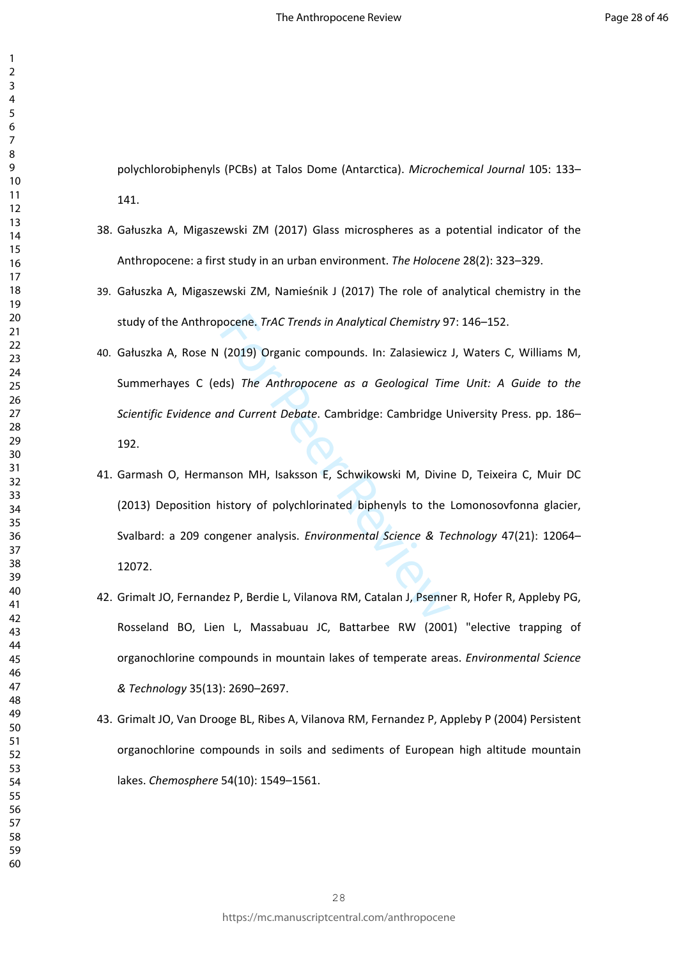polychlorobiphenyls (PCBs) at Talos Dome (Antarctica). *Microchemical Journal* 105: 133– 141.

- 38. Gałuszka A, Migaszewski ZM (2017) Glass microspheres as a potential indicator of the Anthropocene: a first study in an urban environment. *The Holocene* 28(2): 323–329.
- 39. Gałuszka A, Migaszewski ZM, Namieśnik J (2017) The role of analytical chemistry in the study of the Anthropocene. *TrAC Trends in Analytical Chemistry* 97: 146–152.
- 40. Gałuszka A, Rose N (2019) Organic compounds. In: Zalasiewicz J, Waters C, Williams M, Summerhayes C (eds) *The Anthropocene as a Geological Time Unit: A Guide to the Scientific Evidence and Current Debate*. Cambridge: Cambridge University Press. pp. 186– 192.
- pocene. *TrAC Trends in Analytical Chemistry* 9<br>
(2019) Organic compounds. In: Zalasiewicz<br>
ds) The Anthropocene as a Geological Tin<br>
und Current Debate. Cambridge: Cambridge L<br>
mson MH, Isaksson E, Schwikowski M, Divin<br>
n 41. Garmash O, Hermanson MH, Isaksson E, Schwikowski M, Divine D, Teixeira C, Muir DC (2013) Deposition history of polychlorinated biphenyls to the Lomonosovfonna glacier, Svalbard: a 209 congener analysis. *Environmental Science & Technology* 47(21): 12064– 12072.
- 42. Grimalt JO, Fernandez P, Berdie L, Vilanova RM, Catalan J, Psenner R, Hofer R, Appleby PG, Rosseland BO, Lien L, Massabuau JC, Battarbee RW (2001) "elective trapping of organochlorine compounds in mountain lakes of temperate areas. *Environmental Science & Technology* 35(13): 2690–2697.
- 43. Grimalt JO, Van Drooge BL, Ribes A, Vilanova RM, Fernandez P, Appleby P (2004) Persistent organochlorine compounds in soils and sediments of European high altitude mountain lakes. *Chemosphere* 54(10): 1549–1561.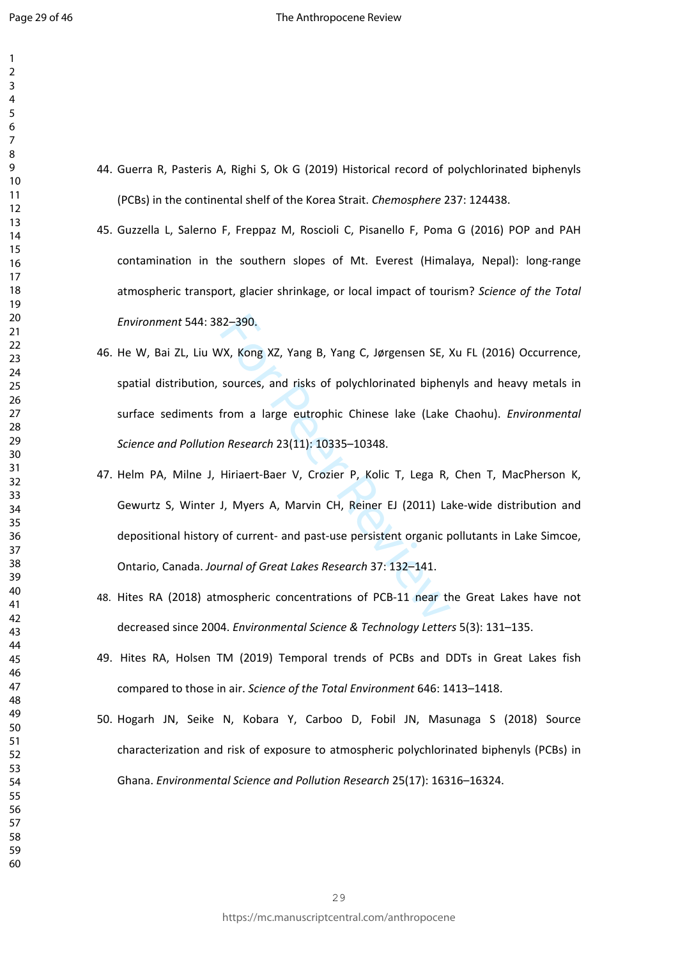- 44. Guerra R, Pasteris A, Righi S, Ok G (2019) Historical record of polychlorinated biphenyls (PCBs) in the continental shelf of the Korea Strait. *Chemosphere* 237: 124438.
- 45. Guzzella L, Salerno F, Freppaz M, Roscioli C, Pisanello F, Poma G (2016) POP and PAH contamination in the southern slopes of Mt. Everest (Himalaya, Nepal): long-range atmospheric transport, glacier shrinkage, or local impact of tourism? *Science of the Total Environment* 544: 382–390.
- 46. He W, Bai ZL, Liu WX, Kong XZ, Yang B, Yang C, Jørgensen SE, Xu FL (2016) Occurrence, spatial distribution, sources, and risks of polychlorinated biphenyls and heavy metals in surface sediments from a large eutrophic Chinese lake (Lake Chaohu). *Environmental Science and Pollution Research* 23(11): 10335–10348.
- 32–390.<br>
VX, Kong XZ, Yang B, Yang C, Jørgensen SE, 3<br>
sources, and risks of polychlorinated bipher<br>
from a large eutrophic Chinese lake (Lake<br>
n Research 23(11): 10335–10348.<br>
Hiriaert-Baer V, Crozier P, Kolic T, Lega R, 47. Helm PA, Milne J, Hiriaert-Baer V, Crozier P, Kolic T, Lega R, Chen T, MacPherson K, Gewurtz S, Winter J, Myers A, Marvin CH, Reiner EJ (2011) Lake-wide distribution and depositional history of current- and past-use persistent organic pollutants in Lake Simcoe, Ontario, Canada. *Journal of Great Lakes Research* 37: 132–141.
- 48. Hites RA (2018) atmospheric concentrations of PCB-11 near the Great Lakes have not decreased since 2004. *Environmental Science & Technology Letters* 5(3): 131–135.
- 49. Hites RA, Holsen TM (2019) Temporal trends of PCBs and DDTs in Great Lakes fish compared to those in air. *Science of the Total Environment* 646: 1413–1418.
- 50. Hogarh JN, Seike N, Kobara Y, Carboo D, Fobil JN, Masunaga S (2018) Source characterization and risk of exposure to atmospheric polychlorinated biphenyls (PCBs) in Ghana. *Environmental Science and Pollution Research* 25(17): 16316–16324.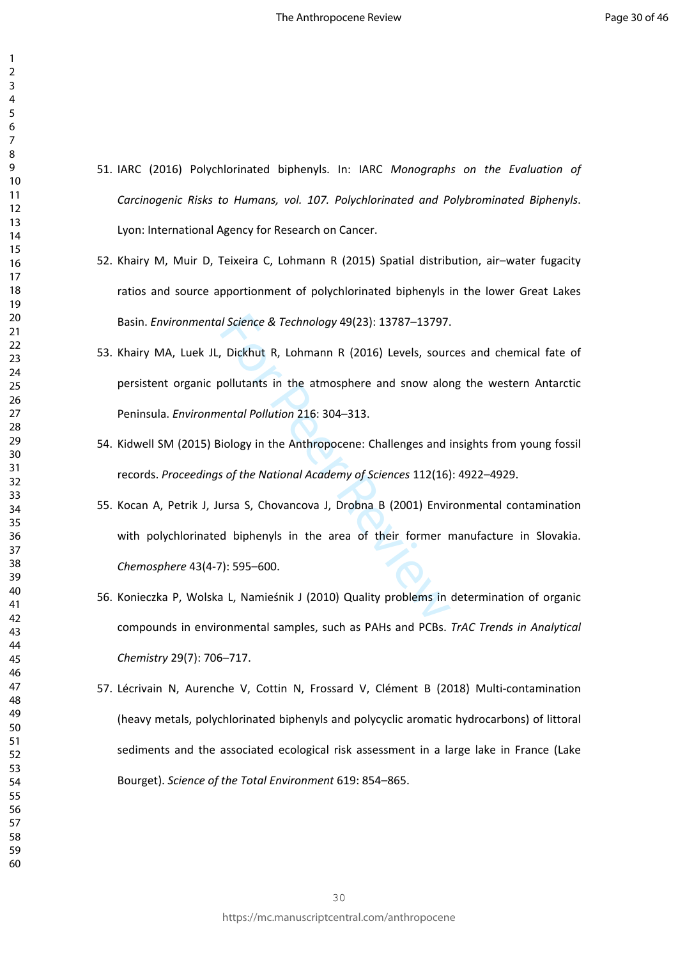- 51. IARC (2016) Polychlorinated biphenyls. In: IARC *Monographs on the Evaluation of Carcinogenic Risks to Humans, vol. 107. Polychlorinated and Polybrominated Biphenyls*. Lyon: International Agency for Research on Cancer.
- 52. Khairy M, Muir D, Teixeira C, Lohmann R (2015) Spatial distribution, air–water fugacity ratios and source apportionment of polychlorinated biphenyls in the lower Great Lakes Basin. *Environmental Science & Technology* 49(23): 13787–13797.
- 53. Khairy MA, Luek JL, Dickhut R, Lohmann R (2016) Levels, sources and chemical fate of persistent organic pollutants in the atmosphere and snow along the western Antarctic Peninsula. *Environmental Pollution* 216: 304–313.
- 54. Kidwell SM (2015) Biology in the Anthropocene: Challenges and insights from young fossil records. *Proceedings of the National Academy of Sciences* 112(16): 4922–4929.
- Il Science & Technology 49(23): 13787–13797.<br>
Dickhut R, Lohmann R (2016) Levels, sourn<br>
pollutants in the atmosphere and snow alor<br>
ental Pollution 216: 304–313.<br>
Riology in the Anthropocene: Challenges and<br>
so f the Nati 55. Kocan A, Petrik J, Jursa S, Chovancova J, Drobna B (2001) Environmental contamination with polychlorinated biphenyls in the area of their former manufacture in Slovakia. *Chemosphere* 43(4-7): 595–600.
- 56. Konieczka P, Wolska L, Namieśnik J (2010) Quality problems in determination of organic compounds in environmental samples, such as PAHs and PCBs. *TrAC Trends in Analytical Chemistry* 29(7): 706–717.
- 57. Lécrivain N, Aurenche V, Cottin N, Frossard V, Clément B (2018) Multi-contamination (heavy metals, polychlorinated biphenyls and polycyclic aromatic hydrocarbons) of littoral sediments and the associated ecological risk assessment in a large lake in France (Lake Bourget). *Science of the Total Environment* 619: 854–865.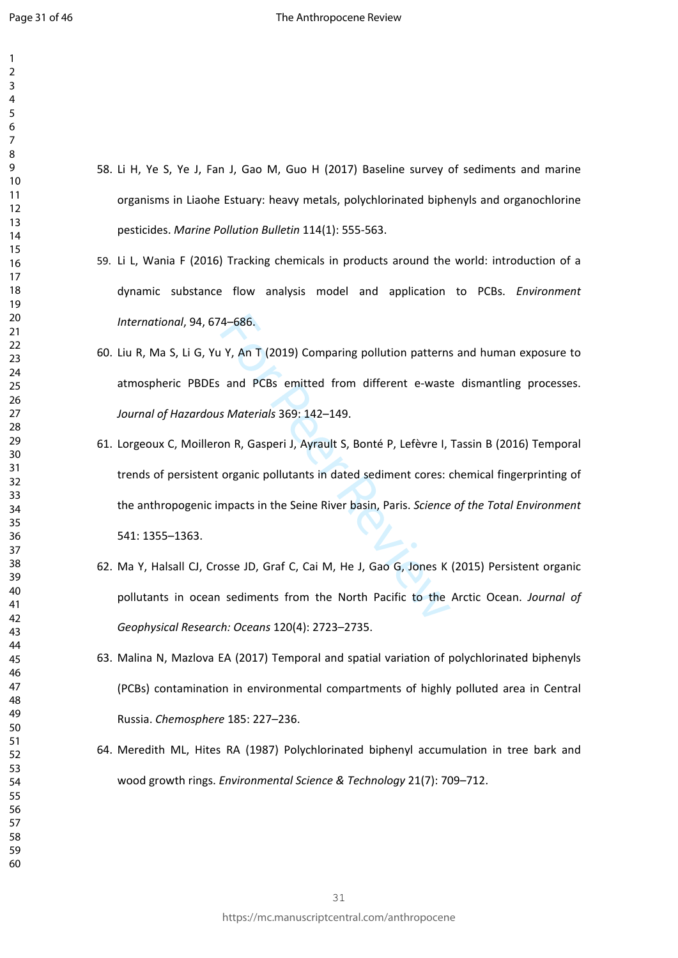- 58. Li H, Ye S, Ye J, Fan J, Gao M, Guo H (2017) Baseline survey of sediments and marine organisms in Liaohe Estuary: heavy metals, polychlorinated biphenyls and organochlorine pesticides. *Marine Pollution Bulletin* 114(1): 555-563.
- 59. Li L, Wania F (2016) Tracking chemicals in products around the world: introduction of a dynamic substance flow analysis model and application to PCBs. *Environment International*, 94, 674–686.
- 60. Liu R, Ma S, Li G, Yu Y, An T (2019) Comparing pollution patterns and human exposure to atmospheric PBDEs and PCBs emitted from different e-waste dismantling processes. *Journal of Hazardous Materials* 369: 142–149.
- 4–686.<br>
1 Y, An T (2019) Comparing pollution patterns<br>
and PCBs emitted from different e-waste<br>
5 Materials 369: 142–149.<br>
2000 N, Gasperi J, Ayrault S, Bonté P, Lefèvre I,<br>
1. Organic pollutants in dated sediment cores:<br> 61. Lorgeoux C, Moilleron R, Gasperi J, Ayrault S, Bonté P, Lefèvre I, Tassin B (2016) Temporal trends of persistent organic pollutants in dated sediment cores: chemical fingerprinting of the anthropogenic impacts in the Seine River basin, Paris. *Science of the Total Environment*  541: 1355–1363.
- 62. Ma Y, Halsall CJ, Crosse JD, Graf C, Cai M, He J, Gao G, Jones K (2015) Persistent organic pollutants in ocean sediments from the North Pacific to the Arctic Ocean. *Journal of Geophysical Research: Oceans* 120(4): 2723–2735.
- 63. Malina N, Mazlova EA (2017) Temporal and spatial variation of polychlorinated biphenyls (PCBs) contamination in environmental compartments of highly polluted area in Central Russia. *Chemosphere* 185: 227–236.
- 64. Meredith ML, Hites RA (1987) Polychlorinated biphenyl accumulation in tree bark and wood growth rings. *Environmental Science & Technology* 21(7): 709–712.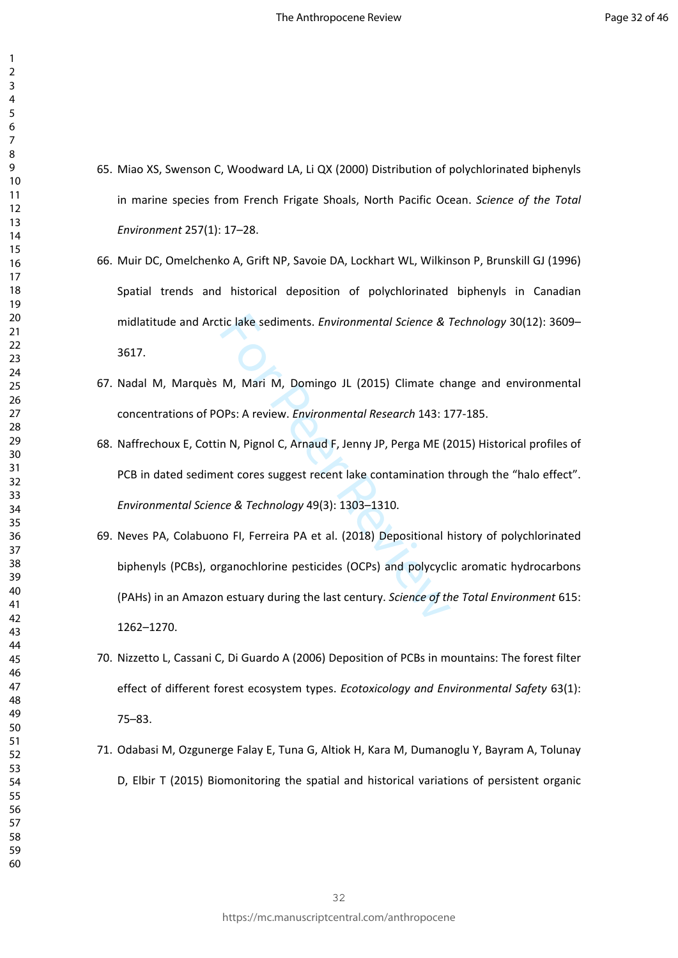- 65. Miao XS, Swenson C, Woodward LA, Li QX (2000) Distribution of polychlorinated biphenyls in marine species from French Frigate Shoals, North Pacific Ocean. *Science of the Total Environment* 257(1): 17–28.
- 66. Muir DC, Omelchenko A, Grift NP, Savoie DA, Lockhart WL, Wilkinson P, Brunskill GJ (1996) Spatial trends and historical deposition of polychlorinated biphenyls in Canadian midlatitude and Arctic lake sediments. *Environmental Science & Technology* 30(12): 3609– 3617.
- 67. Nadal M, Marquès M, Mari M, Domingo JL (2015) Climate change and environmental concentrations of POPs: A review. *Environmental Research* 143: 177-185.
- 68. Naffrechoux E, Cottin N, Pignol C, Arnaud F, Jenny JP, Perga ME (2015) Historical profiles of PCB in dated sediment cores suggest recent lake contamination through the "halo effect". *Environmental Science & Technology* 49(3): 1303–1310.
- tic lake sediments. *Environmental Science &* i<br>
M, Mari M, Domingo JL (2015) Climate ch<br>
DPs: A review. *Environmental Research* 143: 1<br>
n N, Pignol C, Arnaud F, Jenny JP, Perga ME (2<br>
ent cores suggest recent lake contam 69. Neves PA, Colabuono FI, Ferreira PA et al. (2018) Depositional history of polychlorinated biphenyls (PCBs), organochlorine pesticides (OCPs) and polycyclic aromatic hydrocarbons (PAHs) in an Amazon estuary during the last century. *Science of the Total Environment* 615: 1262–1270.
- 70. Nizzetto L, Cassani C, Di Guardo A (2006) Deposition of PCBs in mountains: The forest filter effect of different forest ecosystem types. *Ecotoxicology and Environmental Safety* 63(1): 75–83.
- 71. Odabasi M, Ozgunerge Falay E, Tuna G, Altiok H, Kara M, Dumanoglu Y, Bayram A, Tolunay D, Elbir T (2015) Biomonitoring the spatial and historical variations of persistent organic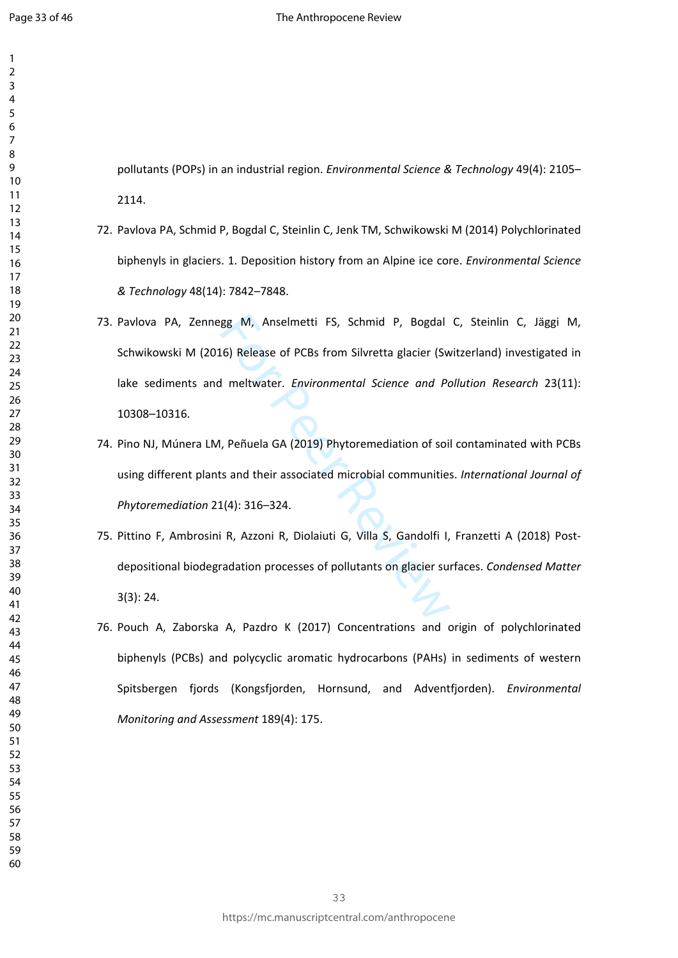pollutants (POPs) in an industrial region. *Environmental Science & Technology* 49(4): 2105– 2114.

- 72. Pavlova PA, Schmid P, Bogdal C, Steinlin C, Jenk TM, Schwikowski M (2014) Polychlorinated biphenyls in glaciers. 1. Deposition history from an Alpine ice core. *Environmental Science & Technology* 48(14): 7842–7848.
- gg M, Anselmetti FS, Schmid P, Bogdal<br>
16) Release of PCBs from Silvretta glacier (Sw<br>
1 meltwater. *Environmental Science and Pc*<br>
1, Peñuela GA (2019) Phytoremediation of soi<br>
15 and their associated microbial communitie 73. Pavlova PA, Zennegg M, Anselmetti FS, Schmid P, Bogdal C, Steinlin C, Jäggi M, Schwikowski M (2016) Release of PCBs from Silvretta glacier (Switzerland) investigated in lake sediments and meltwater. *Environmental Science and Pollution Research* 23(11): 10308–10316.
- 74. Pino NJ, Múnera LM, Peñuela GA (2019) Phytoremediation of soil contaminated with PCBs using different plants and their associated microbial communities. *International Journal of Phytoremediation* 21(4): 316–324.
- 75. Pittino F, Ambrosini R, Azzoni R, Diolaiuti G, Villa S, Gandolfi I, Franzetti A (2018) Postdepositional biodegradation processes of pollutants on glacier surfaces. *Condensed Matter* 3(3): 24.
- 76. Pouch A, Zaborska A, Pazdro K (2017) Concentrations and origin of polychlorinated biphenyls (PCBs) and polycyclic aromatic hydrocarbons (PAHs) in sediments of western Spitsbergen fjords (Kongsfjorden, Hornsund, and Adventfjorden). *Environmental Monitoring and Assessment* 189(4): 175.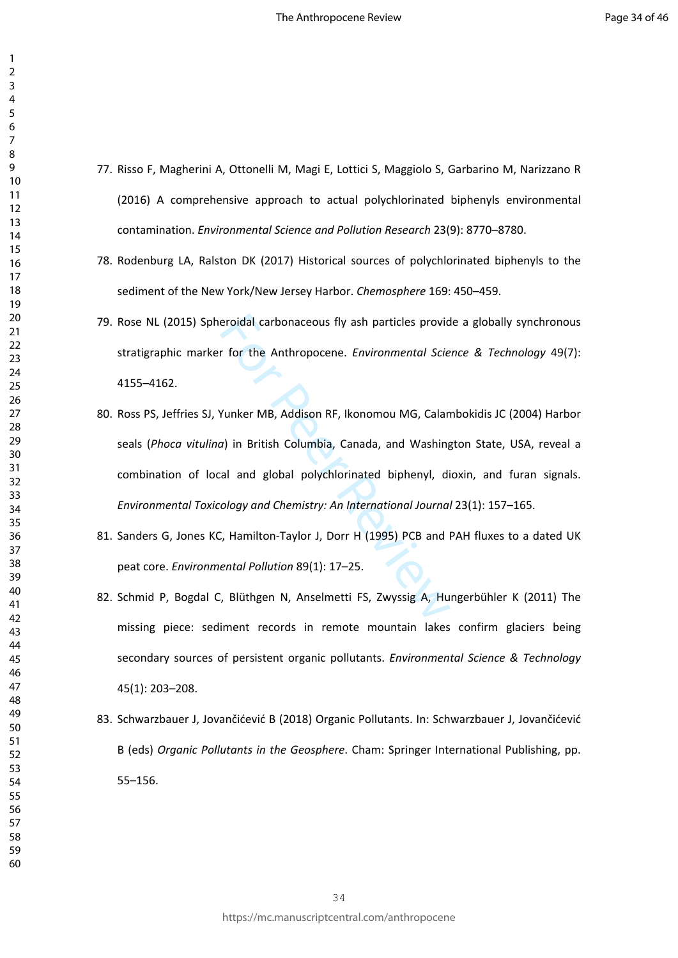- 77. Risso F, Magherini A, Ottonelli M, Magi E, Lottici S, Maggiolo S, Garbarino M, Narizzano R (2016) A comprehensive approach to actual polychlorinated biphenyls environmental contamination. *Environmental Science and Pollution Research* 23(9): 8770–8780.
- 78. Rodenburg LA, Ralston DK (2017) Historical sources of polychlorinated biphenyls to the sediment of the New York/New Jersey Harbor. *Chemosphere* 169: 450–459.
- 79. Rose NL (2015) Spheroidal carbonaceous fly ash particles provide a globally synchronous stratigraphic marker for the Anthropocene. *Environmental Science & Technology* 49(7): 4155–4162.
- eroidal carbonaceous fly ash particles provid<br>
In for the Anthropocene. *Environmental Scie*<br>
Yunker MB, Addison RF, Ikonomou MG, Calan<br>
2) in British Columbia, Canada, and Washing<br>
2) in British Columbia, Canada, and Wash 80. Ross PS, Jeffries SJ, Yunker MB, Addison RF, Ikonomou MG, Calambokidis JC (2004) Harbor seals (*Phoca vitulina*) in British Columbia, Canada, and Washington State, USA, reveal a combination of local and global polychlorinated biphenyl, dioxin, and furan signals. *Environmental Toxicology and Chemistry: An International Journal* 23(1): 157–165.
- 81. Sanders G, Jones KC, Hamilton-Taylor J, Dorr H (1995) PCB and PAH fluxes to a dated UK peat core. *Environmental Pollution* 89(1): 17–25.
- 82. Schmid P, Bogdal C, Blüthgen N, Anselmetti FS, Zwyssig A, Hungerbühler K (2011) The missing piece: sediment records in remote mountain lakes confirm glaciers being secondary sources of persistent organic pollutants. *Environmental Science & Technology* 45(1): 203–208.
- 83. Schwarzbauer J, Jovančićević B (2018) Organic Pollutants. In: Schwarzbauer J, Jovančićević B (eds) *Organic Pollutants in the Geosphere*. Cham: Springer International Publishing, pp. 55–156.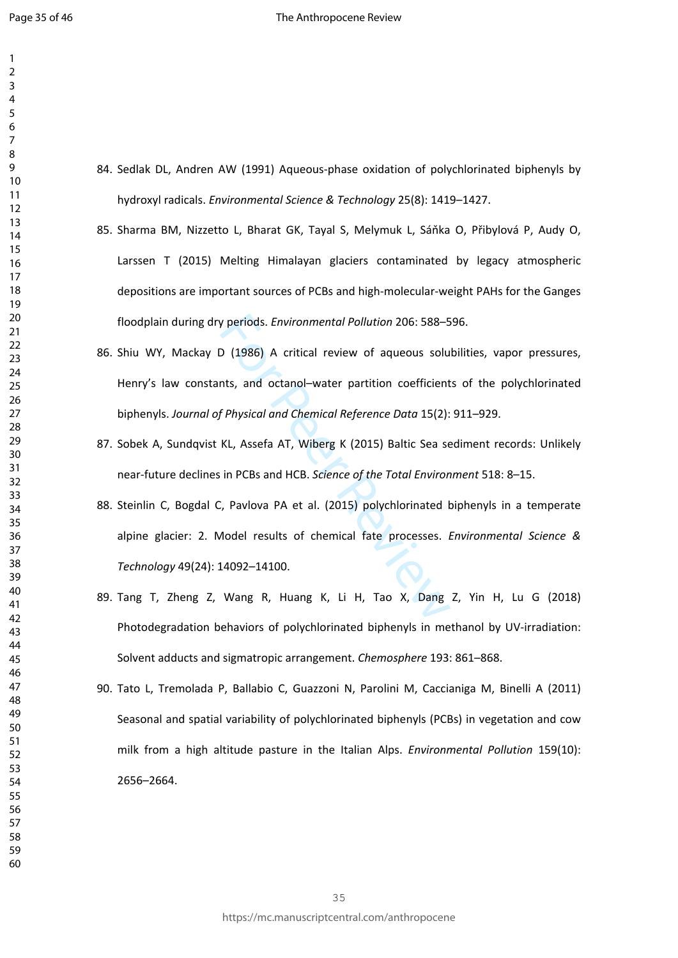- 84. Sedlak DL, Andren AW (1991) Aqueous-phase oxidation of polychlorinated biphenyls by hydroxyl radicals. *Environmental Science & Technology* 25(8): 1419–1427.
- 85. Sharma BM, Nizzetto L, Bharat GK, Tayal S, Melymuk L, Sáňka O, Přibylová P, Audy O, Larssen T (2015) Melting Himalayan glaciers contaminated by legacy atmospheric depositions are important sources of PCBs and high-molecular-weight PAHs for the Ganges floodplain during dry periods. *Environmental Pollution* 206: 588–596.
- 86. Shiu WY, Mackay D (1986) A critical review of aqueous solubilities, vapor pressures, Henry's law constants, and octanol–water partition coefficients of the polychlorinated biphenyls. *Journal of Physical and Chemical Reference Data* 15(2): 911–929.
- 87. Sobek A, Sundqvist KL, Assefa AT, Wiberg K (2015) Baltic Sea sediment records: Unlikely near-future declines in PCBs and HCB. *Science of the Total Environment* 518: 8–15.
- periods. *Environmental Pollution* 206: 588–5<br>
2 (1986) A critical review of aqueous solu<br>
115, and octanol-water partition coefficient<br>
f Physical and Chemical Reference Data 15(2):<br>
12 KL, Assefa AT, Wiberg K (2015) Balt 88. Steinlin C, Bogdal C, Pavlova PA et al. (2015) polychlorinated biphenyls in a temperate alpine glacier: 2. Model results of chemical fate processes. *Environmental Science & Technology* 49(24): 14092–14100.
- 89. Tang T, Zheng Z, Wang R, Huang K, Li H, Tao X, Dang Z, Yin H, Lu G (2018) Photodegradation behaviors of polychlorinated biphenyls in methanol by UV-irradiation: Solvent adducts and sigmatropic arrangement. *Chemosphere* 193: 861–868.
- 90. Tato L, Tremolada P, Ballabio C, Guazzoni N, Parolini M, Caccianiga M, Binelli A (2011) Seasonal and spatial variability of polychlorinated biphenyls (PCBs) in vegetation and cow milk from a high altitude pasture in the Italian Alps. *Environmental Pollution* 159(10): 2656–2664.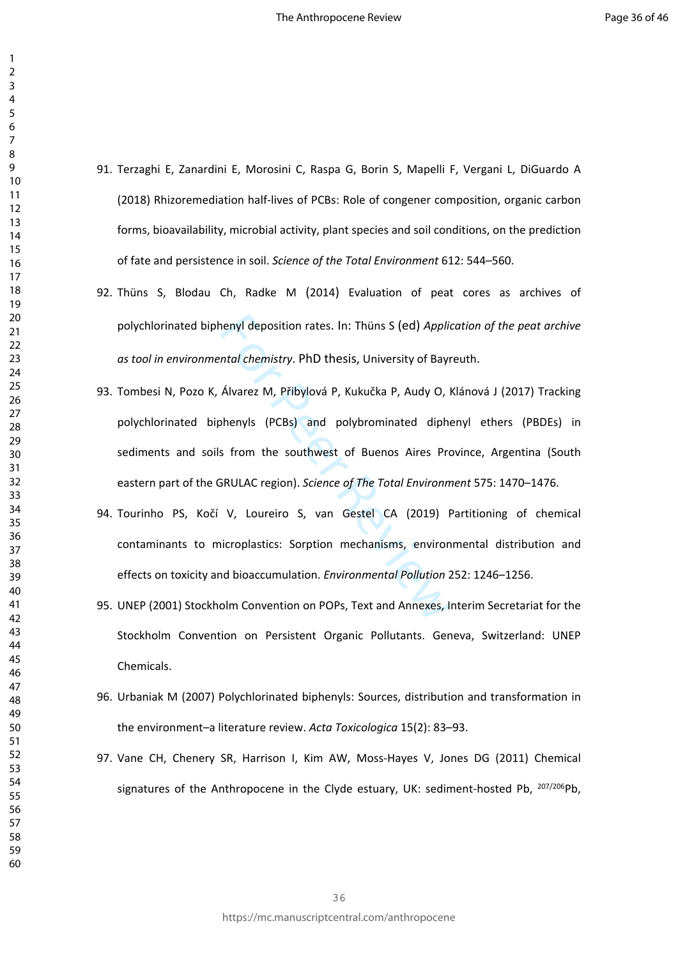- 91. Terzaghi E, Zanardini E, Morosini C, Raspa G, Borin S, Mapelli F, Vergani L, DiGuardo A (2018) Rhizoremediation half-lives of PCBs: Role of congener composition, organic carbon forms, bioavailability, microbial activity, plant species and soil conditions, on the prediction of fate and persistence in soil. *Science of the Total Environment* 612: 544–560.
- 92. Thüns S, Blodau Ch, Radke M (2014) Evaluation of peat cores as archives of polychlorinated biphenyl deposition rates. In: Thüns S (ed) *Application of the peat archive as tool in environmental chemistry*. PhD thesis, University of Bayreuth.
- nenyl deposition rates. In: Thüns S (ed) *Applit*<br>
Alvarez M, Přibylová P, Kukučka P, Audy O, I<br>
Alvarez M, Přibylová P, Kukučka P, Audy O, I<br>
Shenyls (PCBs) and polybrominated dipharely<br>
Shenyls (PCBs) and polybrominated 93. Tombesi N, Pozo K, Álvarez M, Přibylová P, Kukučka P, Audy O, Klánová J (2017) Tracking polychlorinated biphenyls (PCBs) and polybrominated diphenyl ethers (PBDEs) in sediments and soils from the southwest of Buenos Aires Province, Argentina (South eastern part of the GRULAC region). *Science of The Total Environment* 575: 1470–1476.
- 94. Tourinho PS, Kočí V, Loureiro S, van Gestel CA (2019) Partitioning of chemical contaminants to microplastics: Sorption mechanisms, environmental distribution and effects on toxicity and bioaccumulation. *Environmental Pollution* 252: 1246–1256.
- 95. UNEP (2001) Stockholm Convention on POPs, Text and Annexes, Interim Secretariat for the Stockholm Convention on Persistent Organic Pollutants. Geneva, Switzerland: UNEP Chemicals.
- 96. Urbaniak M (2007) Polychlorinated biphenyls: Sources, distribution and transformation in the environment–a literature review. *Acta Toxicologica* 15(2): 83–93.
- 97. Vane CH, Chenery SR, Harrison I, Kim AW, Moss-Hayes V, Jones DG (2011) Chemical signatures of the Anthropocene in the Clyde estuary, UK: sediment-hosted Pb,  $207/206Pb$ ,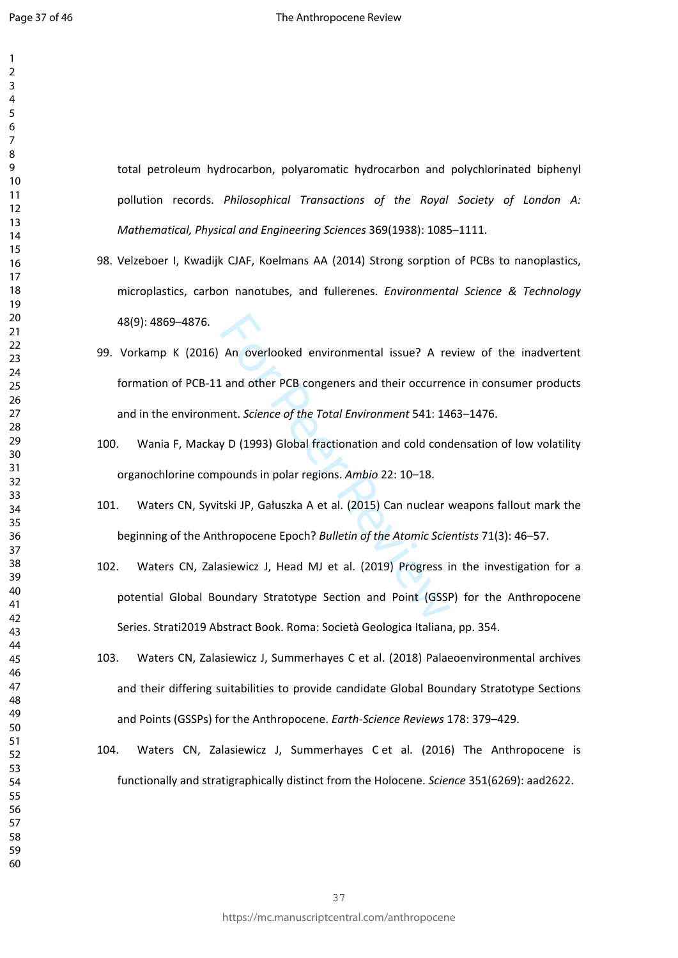$\mathbf{1}$ 

total petroleum hydrocarbon, polyaromatic hydrocarbon and polychlorinated biphenyl pollution records. *Philosophical Transactions of the Royal Society of London A: Mathematical, Physical and Engineering Sciences* 369(1938): 1085–1111.

- 98. Velzeboer I, Kwadijk CJAF, Koelmans AA (2014) Strong sorption of PCBs to nanoplastics, microplastics, carbon nanotubes, and fullerenes. *Environmental Science & Technology* 48(9): 4869–4876.
- An overlooked environmental issue? A re<br>
L and other PCB congeners and their occurrer<br>
ent. Science of the Total Environment 541: 14<br>
y D (1993) Global fractionation and cold conc<br>
pounds in polar regions. Ambio 22: 10–18. 99. Vorkamp K (2016) An overlooked environmental issue? A review of the inadvertent formation of PCB-11 and other PCB congeners and their occurrence in consumer products and in the environment. *Science of the Total Environment* 541: 1463–1476.
- 100. Wania F, Mackay D (1993) Global fractionation and cold condensation of low volatility organochlorine compounds in polar regions. *Ambio* 22: 10–18.
- 101. Waters CN, Syvitski JP, Gałuszka A et al. (2015) Can nuclear weapons fallout mark the beginning of the Anthropocene Epoch? *Bulletin of the Atomic Scientists* 71(3): 46–57.
- 102. Waters CN, Zalasiewicz J, Head MJ et al. (2019) Progress in the investigation for a potential Global Boundary Stratotype Section and Point (GSSP) for the Anthropocene Series. Strati2019 Abstract Book. Roma: Società Geologica Italiana, pp. 354.
- 103. Waters CN, Zalasiewicz J, Summerhayes C et al. (2018) Palaeoenvironmental archives and their differing suitabilities to provide candidate Global Boundary Stratotype Sections and Points (GSSPs) for the Anthropocene. *Earth-Science Reviews* 178: 379–429.
- 104. Waters CN, Zalasiewicz J, Summerhayes C et al. (2016) The Anthropocene is functionally and stratigraphically distinct from the Holocene. *Science* 351(6269): aad2622.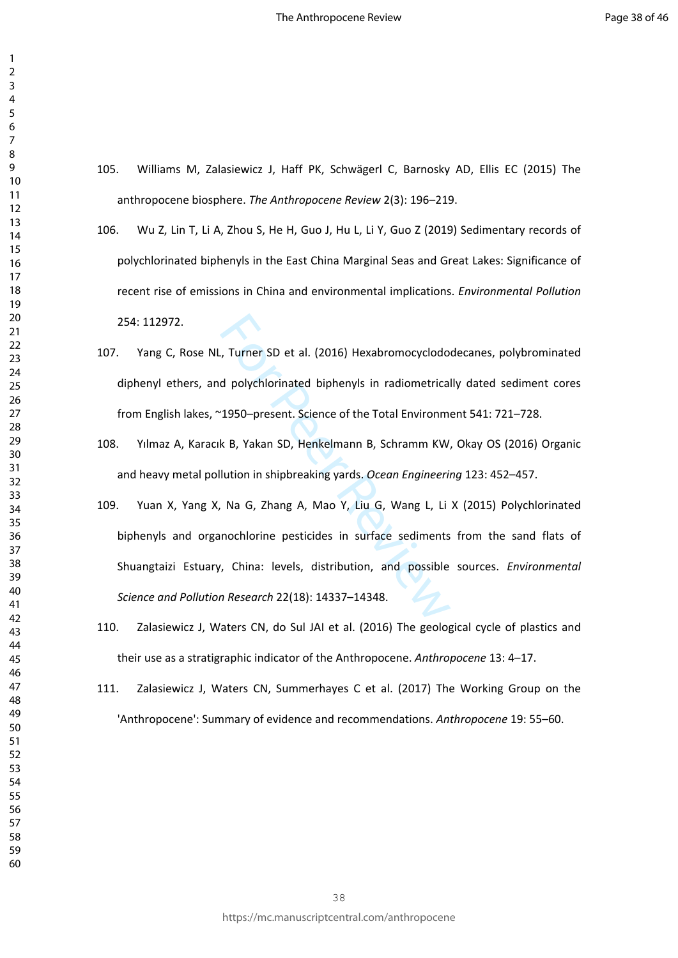- 105. Williams M, Zalasiewicz J, Haff PK, Schwägerl C, Barnosky AD, Ellis EC (2015) The anthropocene biosphere. *The Anthropocene Review* 2(3): 196–219.
- 106. Wu Z, Lin T, Li A, Zhou S, He H, Guo J, Hu L, Li Y, Guo Z (2019) Sedimentary records of polychlorinated biphenyls in the East China Marginal Seas and Great Lakes: Significance of recent rise of emissions in China and environmental implications. *Environmental Pollution* 254: 112972.
- 107. Yang C, Rose NL, Turner SD et al. (2016) Hexabromocyclododecanes, polybrominated diphenyl ethers, and polychlorinated biphenyls in radiometrically dated sediment cores from English lakes, ~1950–present. Science of the Total Environment 541: 721–728.
- 108. Yılmaz A, Karacık B, Yakan SD, Henkelmann B, Schramm KW, Okay OS (2016) Organic and heavy metal pollution in shipbreaking yards. *Ocean Engineering* 123: 452–457.
- The Summary Summar Summar Summar Summar Summar Summar Summar Summar Summar Summar Summar Summar Summar Summar Summar Summar Summar Summar Summar Summar Summar Summar Summar Summar Summar Summar Summar Summar Summar Summar 109. Yuan X, Yang X, Na G, Zhang A, Mao Y, Liu G, Wang L, Li X (2015) Polychlorinated biphenyls and organochlorine pesticides in surface sediments from the sand flats of Shuangtaizi Estuary, China: levels, distribution, and possible sources. *Environmental Science and Pollution Research* 22(18): 14337–14348.
- 110. Zalasiewicz J, Waters CN, do Sul JAI et al. (2016) The geological cycle of plastics and their use as a stratigraphic indicator of the Anthropocene. *Anthropocene* 13: 4–17.
- 111. Zalasiewicz J, Waters CN, Summerhayes C et al. (2017) The Working Group on the 'Anthropocene': Summary of evidence and recommendations. *Anthropocene* 19: 55–60.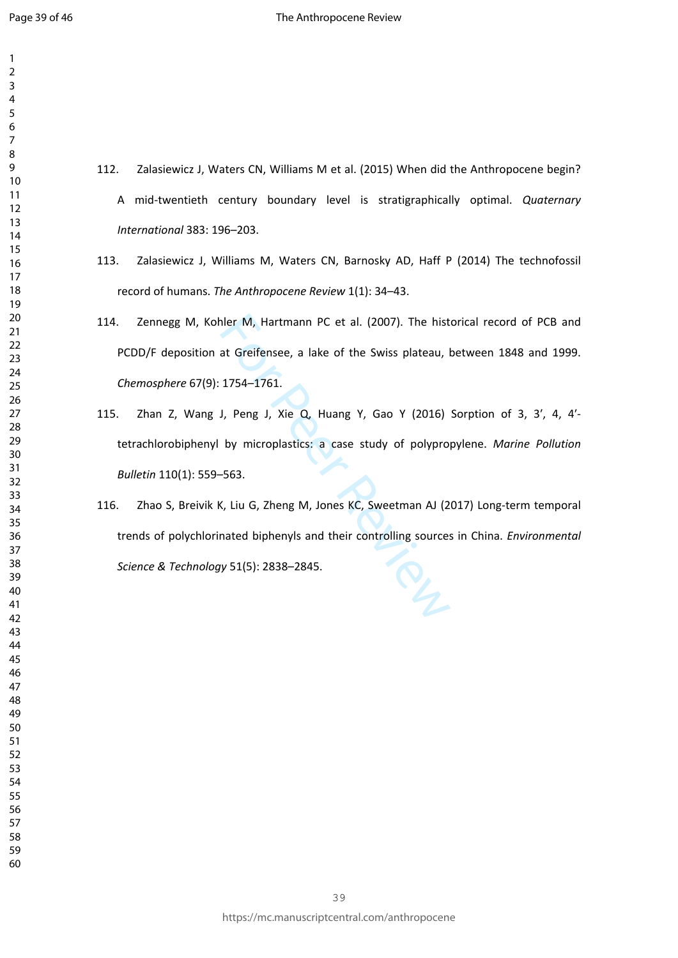$\mathbf{1}$ 

- $\overline{2}$  $\overline{4}$  $\overline{7}$
- 112. Zalasiewicz J, Waters CN, Williams M et al. (2015) When did the Anthropocene begin? A mid-twentieth century boundary level is stratigraphically optimal. *Quaternary International* 383: 196–203.
- 113. Zalasiewicz J, Williams M, Waters CN, Barnosky AD, Haff P (2014) The technofossil record of humans. *The Anthropocene Review* 1(1): 34–43.
- 114. Zennegg M, Kohler M, Hartmann PC et al. (2007). The historical record of PCB and PCDD/F deposition at Greifensee, a lake of the Swiss plateau, between 1848 and 1999. *Chemosphere* 67(9): 1754–1761.
- 115. Zhan Z, Wang J, Peng J, Xie Q, Huang Y, Gao Y (2016) Sorption of 3, 3′, 4, 4′ tetrachlorobiphenyl by microplastics: a case study of polypropylene. *Marine Pollution Bulletin* 110(1): 559–563.
- nler M, Hartmann PC et al. (2007). The hist<br>at Greifensee, a lake of the Swiss plateau, I<br>1754–1761.<br>J, Peng J, Xie Q, Huang Y, Gao Y (2016)<br>by microplastics: a case study of polypro<br>-563.<br>K, Liu G, Zheng M, Jones KC, Swee 116. Zhao S, Breivik K, Liu G, Zheng M, Jones KC, Sweetman AJ (2017) Long-term temporal trends of polychlorinated biphenyls and their controlling sources in China. *Environmental Science & Technology* 51(5): 2838–2845.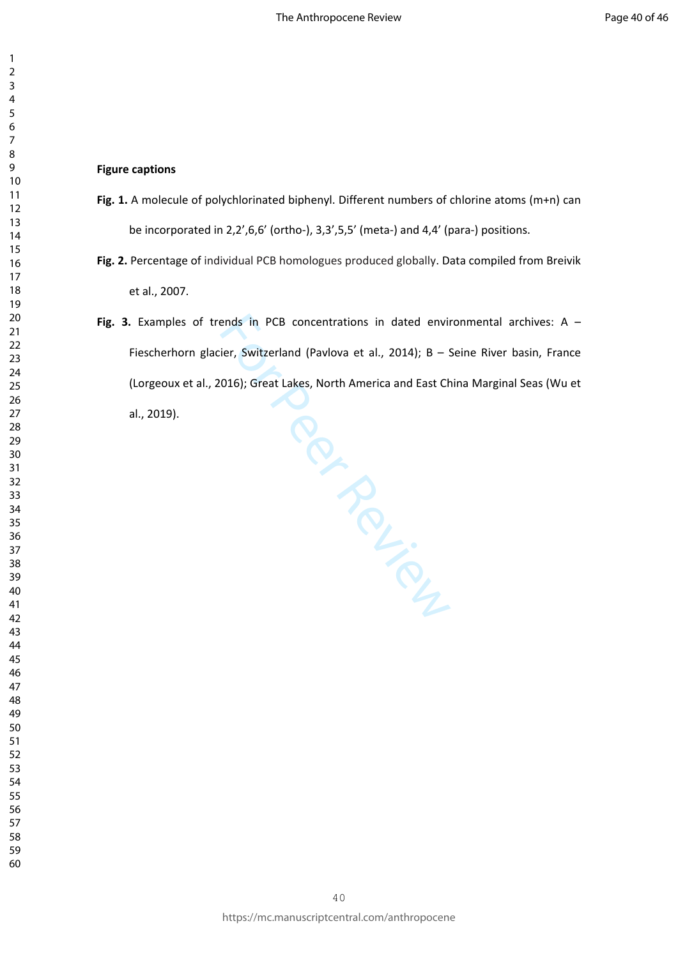#### **Figure captions**

- **Fig. 1.** A molecule of polychlorinated biphenyl. Different numbers of chlorine atoms (m+n) can be incorporated in 2,2',6,6' (ortho-), 3,3',5,5' (meta-) and 4,4' (para-) positions.
- **Fig. 2.** Percentage of individual PCB homologues produced globally. Data compiled from Breivik et al., 2007.
- Per Person **Fig. 3.** Examples of trends in PCB concentrations in dated environmental archives: A – Fiescherhorn glacier, Switzerland (Pavlova et al., 2014); B – Seine River basin, France (Lorgeoux et al., 2016); Great Lakes, North America and East China Marginal Seas (Wu et al., 2019).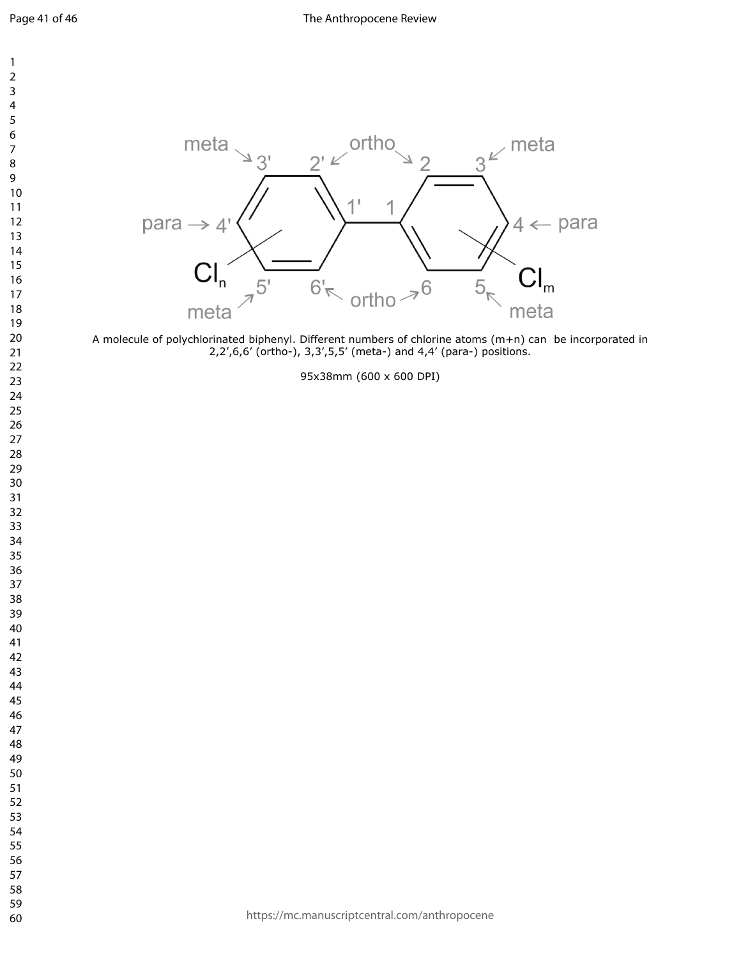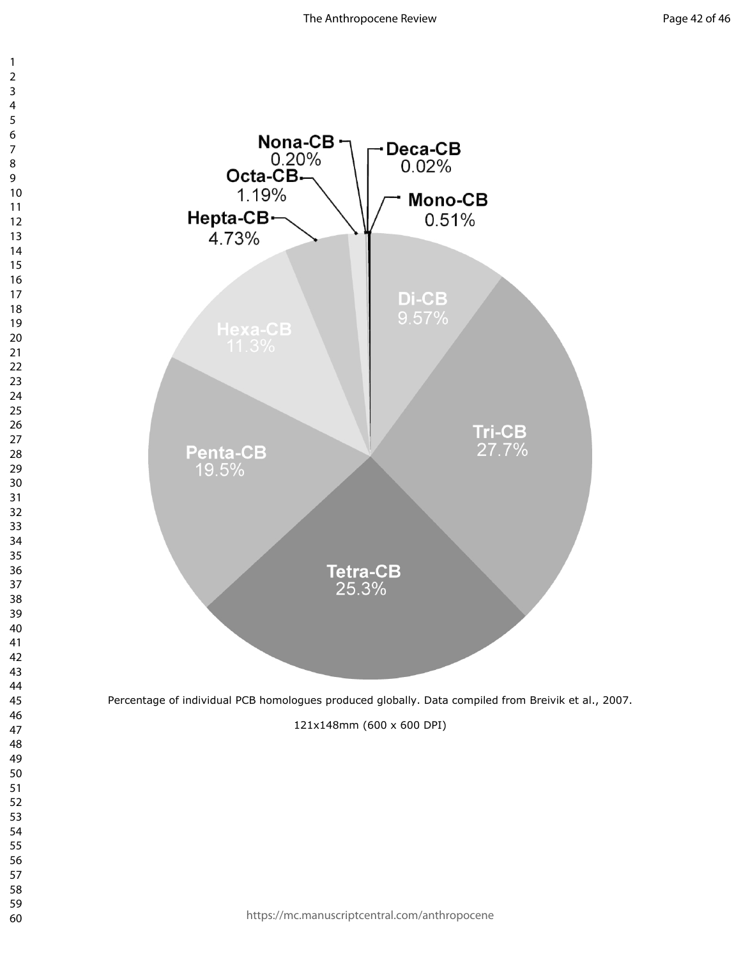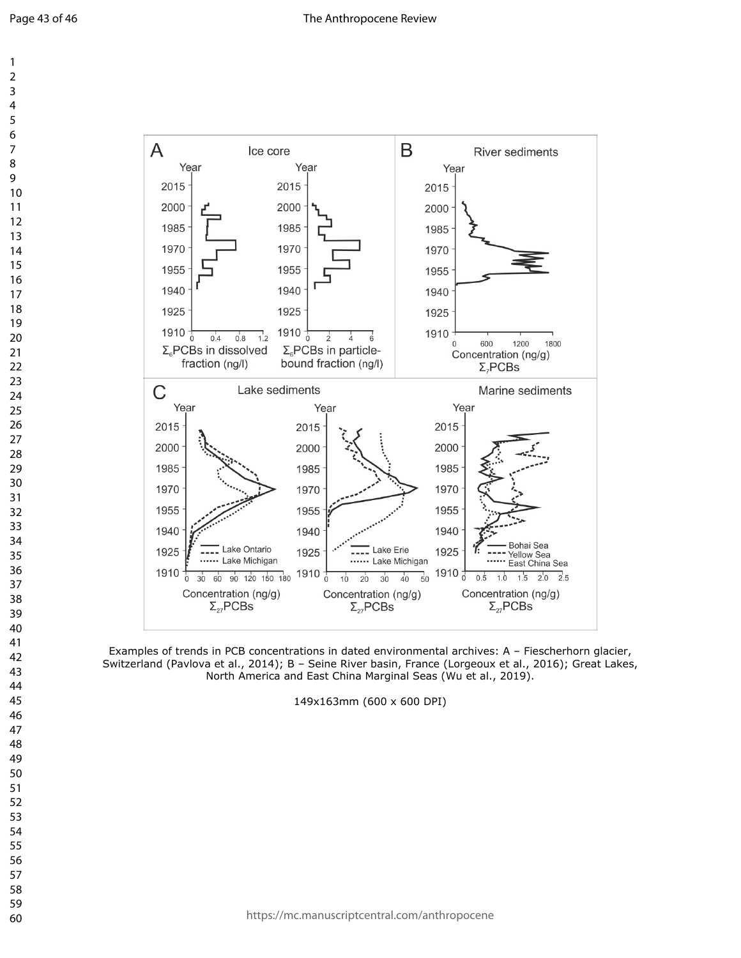

Examples of trends in PCB concentrations in dated environmental archives: A – Fiescherhorn glacier, Switzerland (Pavlova et al., 2014); B – Seine River basin, France (Lorgeoux et al., 2016); Great Lakes, North America and East China Marginal Seas (Wu et al., 2019).

149x163mm (600 x 600 DPI)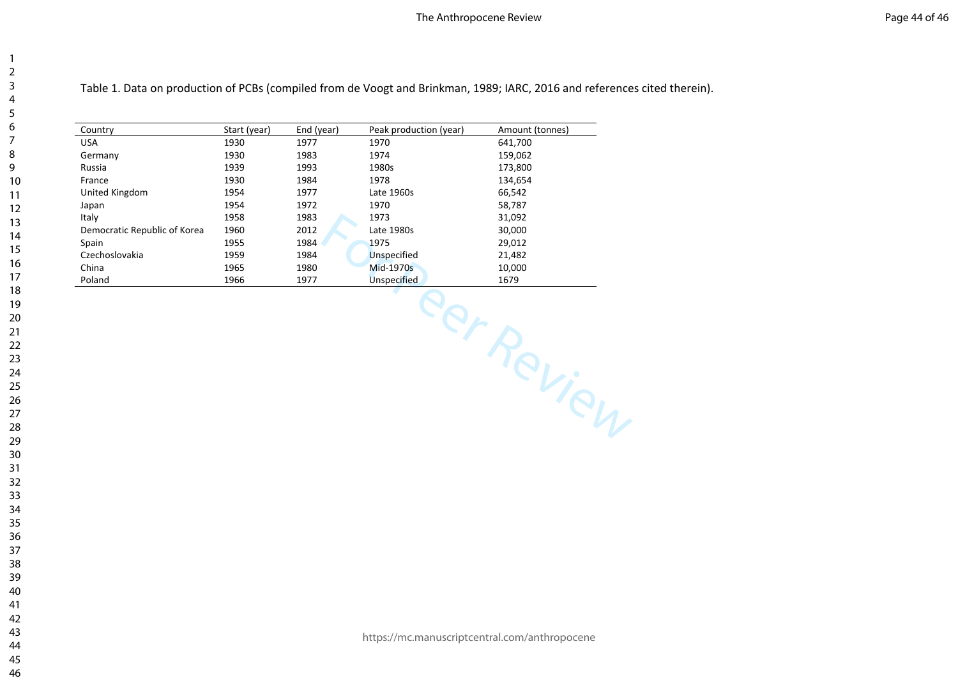Table 1. Data on production of PCBs (compiled from de Voogt and Brinkman, 1989; IARC, 2016 and references cited therein).

| Country                      | Start (year) | End (year) | Peak production (year) | Amount (tonnes) |  |  |
|------------------------------|--------------|------------|------------------------|-----------------|--|--|
| <b>USA</b>                   | 1930         | 1977       | 1970                   | 641,700         |  |  |
| Germany                      | 1930         | 1983       | 1974                   | 159,062         |  |  |
| Russia                       | 1939         | 1993       | 1980s                  | 173,800         |  |  |
| France                       | 1930         | 1984       | 1978                   | 134,654         |  |  |
| United Kingdom               | 1954         | 1977       | Late 1960s             | 66,542          |  |  |
| Japan                        | 1954         | 1972       | 1970                   | 58,787          |  |  |
| Italy                        | 1958         | 1983       | 1973                   | 31,092          |  |  |
| Democratic Republic of Korea | 1960         | 2012       | Late 1980s             | 30,000          |  |  |
| Spain                        | 1955         | 1984       | 1975                   | 29,012          |  |  |
| Czechoslovakia               | 1959         | 1984       | Unspecified            | 21,482          |  |  |
| China                        | 1965         | 1980       | Mid-1970s              | 10,000          |  |  |
| Poland                       | 1966<br>1977 |            | <b>Unspecified</b>     | 1679            |  |  |
|                              |              |            |                        | eer Review      |  |  |
|                              |              |            |                        |                 |  |  |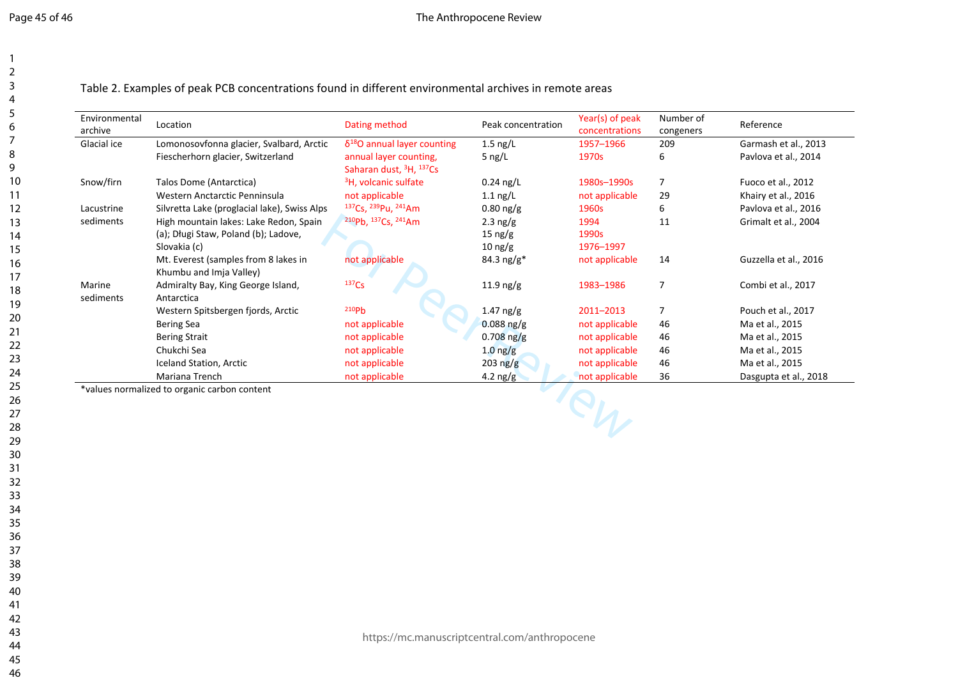Table 2. Examples of peak PCB concentrations found in different environmental archives in remote areas

| Environmental<br>archive | Location                                                        | Dating method                                                             | Peak concentration  | Year(s) of peak<br>concentrations | Number of<br>congeners | Reference             |
|--------------------------|-----------------------------------------------------------------|---------------------------------------------------------------------------|---------------------|-----------------------------------|------------------------|-----------------------|
| Glacial ice              | Lomonosovfonna glacier, Svalbard, Arctic                        | $\delta^{18}$ O annual layer counting                                     | $1.5$ ng/L          | 1957-1966                         | 209                    | Garmash et al., 2013  |
|                          | Fiescherhorn glacier, Switzerland                               | annual layer counting,<br>Saharan dust, <sup>3</sup> H, <sup>137</sup> Cs | 5 ng/L              | 1970s                             | 6                      | Pavlova et al., 2014  |
| Snow/firn                | Talos Dome (Antarctica)                                         | <sup>3</sup> H, volcanic sulfate                                          | $0.24$ ng/L         | 1980s-1990s                       | $\overline{7}$         | Fuoco et al., 2012    |
|                          | Western Anctarctic Penninsula                                   | not applicable                                                            | $1.1$ ng/L          | not applicable                    | 29                     | Khairy et al., 2016   |
| Lacustrine               | Silvretta Lake (proglacial lake), Swiss Alps                    | <sup>137</sup> Cs, <sup>239</sup> Pu, <sup>241</sup> Am                   | $0.80$ ng/g         | 1960s                             | 6                      | Pavlova et al., 2016  |
| sediments                | High mountain lakes: Lake Redon, Spain                          | 210pb, 137Cs, 241Am                                                       | 2.3 $ng/g$          | 1994                              | 11                     | Grimalt et al., 2004  |
|                          | (a); Długi Staw, Poland (b); Ladove,                            |                                                                           | $15 \text{ ng/g}$   | 1990s                             |                        |                       |
|                          | Slovakia (c)                                                    |                                                                           | $10 \text{ ng/g}$   | 1976-1997                         |                        |                       |
|                          | Mt. Everest (samples from 8 lakes in<br>Khumbu and Imja Valley) | not applicable                                                            | 84.3 $ng/g*$        | not applicable                    | 14                     | Guzzella et al., 2016 |
| Marine                   | Admiralty Bay, King George Island,                              | 137C <sub>S</sub>                                                         | $11.9 \text{ ng/g}$ | 1983-1986                         | $\overline{7}$         | Combi et al., 2017    |
| sediments                | Antarctica                                                      |                                                                           |                     |                                   |                        |                       |
|                          | Western Spitsbergen fjords, Arctic                              | 210P <sub>b</sub>                                                         | $1.47$ ng/g         | 2011-2013                         | 7                      | Pouch et al., 2017    |
|                          | <b>Bering Sea</b>                                               | not applicable                                                            | $0.088$ ng/g        | not applicable                    | 46                     | Ma et al., 2015       |
|                          | <b>Bering Strait</b>                                            | not applicable                                                            | $0.708$ ng/g        | not applicable                    | 46                     | Ma et al., 2015       |
|                          | Chukchi Sea                                                     | not applicable                                                            | $1.0$ ng/g          | not applicable                    | 46                     | Ma et al., 2015       |
|                          | Iceland Station, Arctic                                         | not applicable                                                            | $203 \text{ ng/g}$  | not applicable                    | 46                     | Ma et al., 2015       |
|                          | Mariana Trench                                                  | not applicable                                                            | $4.2 \text{ ng/g}$  | not applicable                    | 36                     | Dasgupta et al., 2018 |
|                          | *values normalized to organic carbon content                    |                                                                           |                     |                                   |                        |                       |